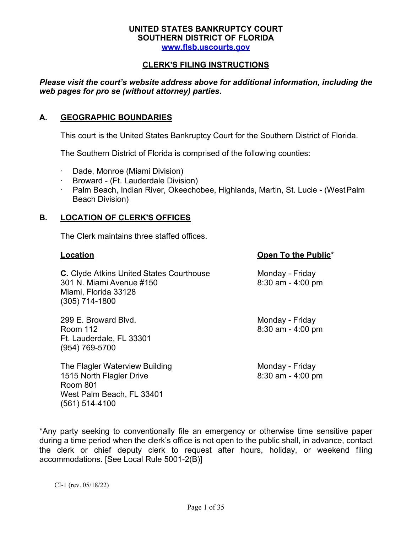#### **UNITED STATES BANKRUPTCY COURT SOUTHERN DISTRICT OF FLORIDA [www.flsb.uscourts.gov](http://www.flsb.uscourts.gov/)**

#### **CLERK'S FILING INSTRUCTIONS**

#### *Please visit the court's website address above for additional information, including the web pages for pro se (without attorney) parties***.**

#### **A. GEOGRAPHIC BOUNDARIES**

This court is the United States Bankruptcy Court for the Southern District of Florida.

The Southern District of Florida is comprised of the following counties:

- · Dade, Monroe (Miami Division)
- · Broward (Ft. Lauderdale Division)
- · Palm Beach, Indian River, Okeechobee, Highlands, Martin, St. Lucie (WestPalm Beach Division)

#### **B. LOCATION OF CLERK'S OFFICES**

The Clerk maintains three staffed offices.

#### **Location Constanting Constanting Constanting Constanting Constanting Constanting Constanting Constanting Constanting Constanting Constanting Constanting Constanting Constanting Constanting Constanting Constanting Consta**

**C.** Clyde Atkins United States Courthouse Monday - Friday 301 N. Miami Avenue #150 8:30 am - 4:00 pm Miami, Florida 33128 (305) 714-1800

299 E. Broward Blvd. Monday - Friday Room 112 8:30 am - 4:00 pm Ft. Lauderdale, FL 33301 (954) 769-5700

The Flagler Waterview Building Monday - Friday 1515 North Flagler Drive 8:30 am - 4:00 pm Room 801 West Palm Beach, FL 33401 (561) 514-4100

\*Any party seeking to conventionally file an emergency or otherwise time sensitive paper during a time period when the clerk's office is not open to the public shall, in advance, contact the clerk or chief deputy clerk to request after hours, holiday, or weekend filing accommodations. [See Local Rule 5001-2(B)]

CI-1 (rev. 05/18/22)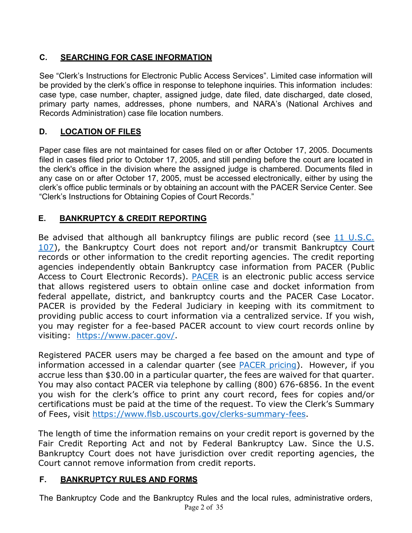### **C. SEARCHING FOR CASE INFORMATION**

See "Clerk's Instructions for Electronic Public Access Services". Limited case information will be provided by the clerk's office in response to telephone inquiries. This information includes: case type, case number, chapter, assigned judge, date filed, date discharged, date closed, primary party names, addresses, phone numbers, and NARA's (National Archives and Records Administration) case file location numbers.

### **D. LOCATION OF FILES**

Paper case files are not maintained for cases filed on or after October 17, 2005. Documents filed in cases filed prior to October 17, 2005, and still pending before the court are located in the clerk's office in the division where the assigned judge is chambered. Documents filed in any case on or after October 17, 2005, must be accessed electronically, either by using the clerk's office public terminals or by obtaining an account with the PACER Service Center. See "Clerk's Instructions for Obtaining Copies of Court Records."

### **E. BANKRUPTCY & CREDIT REPORTING**

Be advised that although all bankruptcy filings are public record (see 11 U.S.C. [107\)](https://www.law.cornell.edu/uscode/text/11/107), the Bankruptcy Court does not report and/or transmit Bankruptcy Court records or other information to the credit reporting agencies. The credit reporting agencies independently obtain Bankruptcy case information from PACER (Public Access to Court Electronic Records). [PACER](https://pacer.uscourts.gov/) is an electronic public access service that allows registered users to obtain online case and docket information from federal appellate, district, and bankruptcy courts and the PACER Case Locator. PACER is provided by the Federal Judiciary in keeping with its commitment to providing public access to court information via a centralized service. If you wish, you may register for a fee-based PACER account to view court records online by visiting: [https://www.pacer.gov/.](https://www.pacer.gov/)

Registered PACER users may be charged a fee based on the amount and type of information accessed in a calendar quarter (see [PACER pricing\)](https://pacer.uscourts.gov/pacer-pricing-how-fees-work). However, if you accrue less than \$30.00 in a particular quarter, the fees are waived for that quarter. You may also contact PACER via telephone by calling (800) 676-6856. In the event you wish for the clerk's office to print any court record, fees for copies and/or certifications must be paid at the time of the request. To view the Clerk's Summary of Fees, visit [https://www.flsb.uscourts.gov/clerks-summary-fees.](https://www.flsb.uscourts.gov/clerks-summary-fees)

The length of time the information remains on your credit report is governed by the Fair Credit Reporting Act and not by Federal Bankruptcy Law. Since the U.S. Bankruptcy Court does not have jurisdiction over credit reporting agencies, the Court cannot remove information from credit reports.

### **F. BANKRUPTCY RULES AND FORMS**

The Bankruptcy Code and the Bankruptcy Rules and the local rules, administrative orders,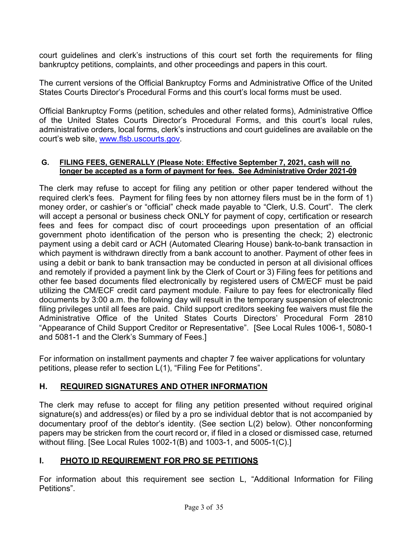court guidelines and clerk's instructions of this court set forth the requirements for filing bankruptcy petitions, complaints, and other proceedings and papers in this court.

The current versions of the Official Bankruptcy Forms and Administrative Office of the United States Courts Director's Procedural Forms and this court's local forms must be used.

Official Bankruptcy Forms (petition, schedules and other related forms), Administrative Office of the United States Courts Director's Procedural Forms, and this court's local rules, administrative orders, local forms, clerk's instructions and court guidelines are available on the court's web site, [www.flsb.uscourts.gov.](http://www.flsb.uscourts.gov/)

#### **G. FILING FEES, GENERALLY (Please Note: Effective September 7, 2021, cash will no longer be accepted as a form of payment for fees. See Administrative Order 2021-09**

The clerk may refuse to accept for filing any petition or other paper tendered without the required clerk's fees. Payment for filing fees by non attorney filers must be in the form of 1) money order, or cashier's or "official" check made payable to "Clerk, U.S. Court". The clerk will accept a personal or business check ONLY for payment of copy, certification or research fees and fees for compact disc of court proceedings upon presentation of an official government photo identification of the person who is presenting the check; 2) electronic payment using a debit card or ACH (Automated Clearing House) bank-to-bank transaction in which payment is withdrawn directly from a bank account to another. Payment of other fees in using a debit or bank to bank transaction may be conducted in person at all divisional offices and remotely if provided a payment link by the Clerk of Court or 3) Filing fees for petitions and other fee based documents filed electronically by registered users of CM/ECF must be paid utilizing the CM/ECF credit card payment module. Failure to pay fees for electronically filed documents by 3:00 a.m. the following day will result in the temporary suspension of electronic filing privileges until all fees are paid. Child support creditors seeking fee waivers must file the Administrative Office of the United States Courts Directors' Procedural Form 2810 "Appearance of Child Support Creditor or Representative". [See Local Rules 1006-1, 5080-1 and 5081-1 and the Clerk's Summary of Fees.]

For information on installment payments and chapter 7 fee waiver applications for voluntary petitions, please refer to section L(1), "Filing Fee for Petitions".

### **H. REQUIRED SIGNATURES AND OTHER INFORMATION**

The clerk may refuse to accept for filing any petition presented without required original signature(s) and address(es) or filed by a pro se individual debtor that is not accompanied by documentary proof of the debtor's identity. (See section L(2) below). Other nonconforming papers may be stricken from the court record or, if filed in a closed or dismissed case, returned without filing. [See Local Rules 1002-1(B) and 1003-1, and 5005-1(C).]

### **I. PHOTO ID REQUIREMENT FOR PRO SE PETITIONS**

For information about this requirement see section L, "Additional Information for Filing Petitions".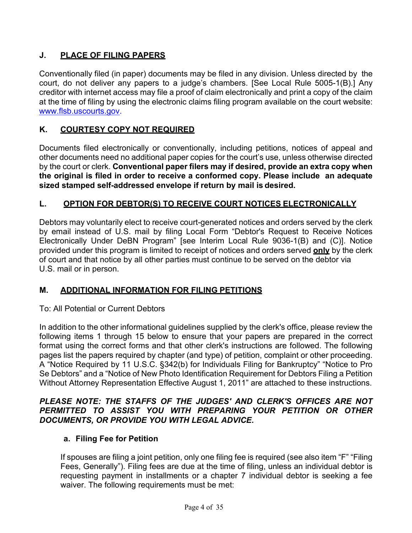### **J. PLACE OF FILING PAPERS**

Conventionally filed (in paper) documents may be filed in any division. Unless directed by the court, do not deliver any papers to a judge's chambers. [See Local Rule 5005-1(B).] Any creditor with internet access may file a proof of claim electronically and print a copy of the claim at the time of filing by using the electronic claims filing program available on the court website: [www.flsb.uscourts.gov.](http://www.flsb.uscourts.gov./)

### **K. COURTESY COPY NOT REQUIRED**

Documents filed electronically or conventionally, including petitions, notices of appeal and other documents need no additional paper copies for the court's use, unless otherwise directed by the court or clerk. **Conventional paper filers may if desired, provide an extra copy when the original is filed in order to receive a conformed copy. Please include an adequate sized stamped self-addressed envelope if return by mail is desired.**

### **L. OPTION FOR DEBTOR(S) TO RECEIVE COURT NOTICES ELECTRONICALLY**

Debtors may voluntarily elect to receive court-generated notices and orders served by the clerk by email instead of U.S. mail by filing Local Form "Debtor's Request to Receive Notices Electronically Under DeBN Program" [see Interim Local Rule 9036-1(B) and (C)]. Notice provided under this program is limited to receipt of notices and orders served **only** by the clerk of court and that notice by all other parties must continue to be served on the debtor via U.S. mail or in person.

### **M. ADDITIONAL INFORMATION FOR FILING PETITIONS**

#### To: All Potential or Current Debtors

In addition to the other informational guidelines supplied by the clerk's office, please review the following items 1 through 15 below to ensure that your papers are prepared in the correct format using the correct forms and that other clerk's instructions are followed. The following pages list the papers required by chapter (and type) of petition, complaint or other proceeding. A "Notice Required by 11 U.S.C. §342(b) for Individuals Filing for Bankruptcy" "Notice to Pro Se Debtors" and a "Notice of New Photo Identification Requirement for Debtors Filing a Petition Without Attorney Representation Effective August 1, 2011" are attached to these instructions.

#### PLEASE NOTE: THE STAFFS OF THE JUDGES' AND CLERK'S OFFICES ARE NOT *PERMITTED TO ASSIST YOU WITH PREPARING YOUR PETITION OR OTHER DOCUMENTS, OR PROVIDE YOU WITH LEGAL ADVICE***.**

#### **a. Filing Fee for Petition**

If spouses are filing a joint petition, only one filing fee is required (see also item "F" "Filing Fees, Generally"). Filing fees are due at the time of filing, unless an individual debtor is requesting payment in installments or a chapter 7 individual debtor is seeking a fee waiver. The following requirements must be met: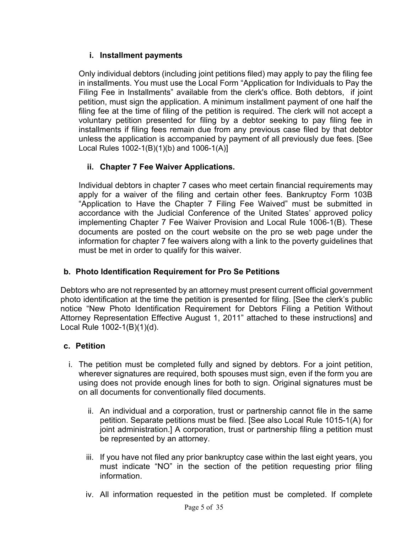### **i. Installment payments**

Only individual debtors (including joint petitions filed) may apply to pay the filing fee in installments. You must use the Local Form "Application for Individuals to Pay the Filing Fee in Installments" available from the clerk's office. Both debtors, if joint petition, must sign the application. A minimum installment payment of one half the filing fee at the time of filing of the petition is required. The clerk will not accept a voluntary petition presented for filing by a debtor seeking to pay filing fee in installments if filing fees remain due from any previous case filed by that debtor unless the application is accompanied by payment of all previously due fees. [See Local Rules 1002-1(B)(1)(b) and 1006-1(A)]

### **ii. Chapter 7 Fee Waiver Applications.**

Individual debtors in chapter 7 cases who meet certain financial requirements may apply for a waiver of the filing and certain other fees. Bankruptcy Form 103B "Application to Have the Chapter 7 Filing Fee Waived" must be submitted in accordance with the Judicial Conference of the United States' approved policy implementing Chapter 7 Fee Waiver Provision and Local Rule 1006-1(B). These documents are posted on the court website on the pro se web page under the information for chapter 7 fee waivers along with a link to the poverty guidelines that must be met in order to qualify for this waiver.

### **b. Photo Identification Requirement for Pro Se Petitions**

Debtors who are not represented by an attorney must present current official government photo identification at the time the petition is presented for filing. [See the clerk's public notice "New Photo Identification Requirement for Debtors Filing a Petition Without Attorney Representation Effective August 1, 2011" attached to these instructions] and Local Rule 1002-1(B)(1)(d).

### **c. Petition**

- i. The petition must be completed fully and signed by debtors. For a joint petition, wherever signatures are required, both spouses must sign, even if the form you are using does not provide enough lines for both to sign. Original signatures must be on all documents for conventionally filed documents.
	- ii. An individual and a corporation, trust or partnership cannot file in the same petition. Separate petitions must be filed. [See also Local Rule 1015-1(A) for joint administration.] A corporation, trust or partnership filing a petition must be represented by an attorney.
	- iii. If you have not filed any prior bankruptcy case within the last eight years, you must indicate "NO" in the section of the petition requesting prior filing information.
	- iv. All information requested in the petition must be completed. If complete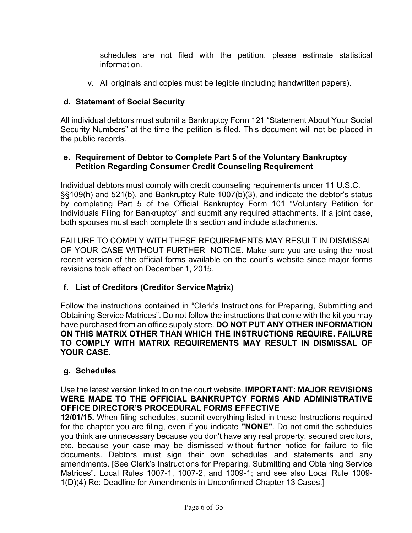schedules are not filed with the petition, please estimate statistical information.

v. All originals and copies must be legible (including handwritten papers).

### **d. Statement of Social Security**

All individual debtors must submit a Bankruptcy Form 121 "Statement About Your Social Security Numbers" at the time the petition is filed. This document will not be placed in the public records.

### **e. Requirement of Debtor to Complete Part 5 of the Voluntary Bankruptcy Petition Regarding Consumer Credit Counseling Requirement**

Individual debtors must comply with credit counseling requirements under 11 U.S.C. §§109(h) and 521(b), and Bankruptcy Rule 1007(b)(3), and indicate the debtor's status by completing Part 5 of the Official Bankruptcy Form 101 "Voluntary Petition for Individuals Filing for Bankruptcy" and submit any required attachments. If a joint case, both spouses must each complete this section and include attachments.

FAILURE TO COMPLY WITH THESE REQUIREMENTS MAY RESULT IN DISMISSAL OF YOUR CASE WITHOUT FURTHER NOTICE. Make sure you are using the most recent version of the official forms available on the court's website since major forms revisions took effect on December 1, 2015.

### **f. List of Creditors (Creditor Service Matrix)**

Follow the instructions contained in "Clerk's Instructions for Preparing, Submitting and Obtaining Service Matrices". Do not follow the instructions that come with the kit you may have purchased from an office supply store. **DO NOT PUT ANY OTHER INFORMATION ON THIS MATRIX OTHER THAN WHICH THE INSTRUCTIONS REQUIRE. FAILURE TO COMPLY WITH MATRIX REQUIREMENTS MAY RESULT IN DISMISSAL OF YOUR CASE.**

#### **g. Schedules**

Use the latest version linked to on the court website. **IMPORTANT: MAJOR REVISIONS WERE MADE TO THE OFFICIAL BANKRUPTCY FORMS AND ADMINISTRATIVE OFFICE DIRECTOR'S PROCEDURAL FORMS EFFECTIVE**

**12/01/15.** When filing schedules, submit everything listed in these Instructions required for the chapter you are filing, even if you indicate **"NONE"**. Do not omit the schedules you think are unnecessary because you don't have any real property, secured creditors, etc. because your case may be dismissed without further notice for failure to file documents. Debtors must sign their own schedules and statements and any amendments. [See Clerk's Instructions for Preparing, Submitting and Obtaining Service Matrices". Local Rules 1007-1, 1007-2, and 1009-1; and see also Local Rule 1009- 1(D)(4) Re: Deadline for Amendments in Unconfirmed Chapter 13 Cases.]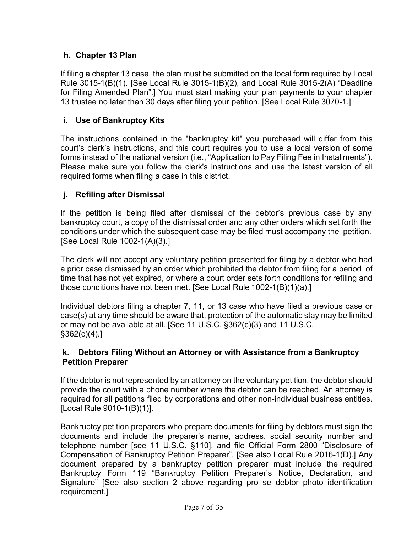### **h. Chapter 13 Plan**

If filing a chapter 13 case, the plan must be submitted on the local form required by Local Rule 3015-1(B)(1). [See Local Rule 3015-1(B)(2), and Local Rule 3015-2(A) "Deadline for Filing Amended Plan".] You must start making your plan payments to your chapter 13 trustee no later than 30 days after filing your petition. [See Local Rule 3070-1.]

### **i. Use of Bankruptcy Kits**

The instructions contained in the "bankruptcy kit" you purchased will differ from this court's clerk's instructions, and this court requires you to use a local version of some forms instead of the national version (i.e., "Application to Pay Filing Fee in Installments"). Please make sure you follow the clerk's instructions and use the latest version of all required forms when filing a case in this district.

### **j. Refiling after Dismissal**

If the petition is being filed after dismissal of the debtor's previous case by any bankruptcy court, a copy of the dismissal order and any other orders which set forth the conditions under which the subsequent case may be filed must accompany the petition. [See Local Rule 1002-1(A)(3).]

The clerk will not accept any voluntary petition presented for filing by a debtor who had a prior case dismissed by an order which prohibited the debtor from filing for a period of time that has not yet expired, or where a court order sets forth conditions for refiling and those conditions have not been met. [See Local Rule 1002-1(B)(1)(a).]

Individual debtors filing a chapter 7, 11, or 13 case who have filed a previous case or case(s) at any time should be aware that, protection of the automatic stay may be limited or may not be available at all. [See 11 U.S.C. §362(c)(3) and 11 U.S.C.  $§362(c)(4).]$ 

### **k. Debtors Filing Without an Attorney or with Assistance from a Bankruptcy Petition Preparer**

If the debtor is not represented by an attorney on the voluntary petition, the debtor should provide the court with a phone number where the debtor can be reached. An attorney is required for all petitions filed by corporations and other non-individual business entities. [Local Rule 9010-1(B)(1)].

Bankruptcy petition preparers who prepare documents for filing by debtors must sign the documents and include the preparer's name, address, social security number and telephone number [see 11 U.S.C. §110], and file Official Form 2800 "Disclosure of Compensation of Bankruptcy Petition Preparer". [See also Local Rule 2016-1(D).] Any document prepared by a bankruptcy petition preparer must include the required Bankruptcy Form 119 "Bankruptcy Petition Preparer's Notice, Declaration, and Signature" [See also section 2 above regarding pro se debtor photo identification requirement.]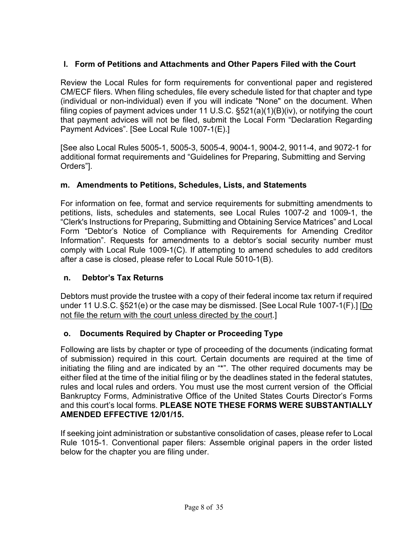### **l. Form of Petitions and Attachments and Other Papers Filed with the Court**

Review the Local Rules for form requirements for conventional paper and registered CM/ECF filers. When filing schedules, file every schedule listed for that chapter and type (individual or non-individual) even if you will indicate "None" on the document. When filing copies of payment advices under 11 U.S.C. §521(a)(1)(B)(iv), or notifying the court that payment advices will not be filed, submit the Local Form "Declaration Regarding Payment Advices". [See Local Rule 1007-1(E).]

[See also Local Rules 5005-1, 5005-3, 5005-4, 9004-1, 9004-2, 9011-4, and 9072-1 for additional format requirements and "Guidelines for Preparing, Submitting and Serving Orders"].

### **m. Amendments to Petitions, Schedules, Lists, and Statements**

For information on fee, format and service requirements for submitting amendments to petitions, lists, schedules and statements, see Local Rules 1007-2 and 1009-1, the "Clerk's Instructions for Preparing, Submitting and Obtaining Service Matrices" and Local Form "Debtor's Notice of Compliance with Requirements for Amending Creditor Information". Requests for amendments to a debtor's social security number must comply with Local Rule 1009-1(C). If attempting to amend schedules to add creditors after a case is closed, please refer to Local Rule 5010-1(B).

### **n. Debtor's Tax Returns**

Debtors must provide the trustee with a copy of their federal income tax return if required under 11 U.S.C. §521(e) or the case may be dismissed. [See Local Rule 1007-1(F).] [Do not file the return with the court unless directed by the court.]

### **o. Documents Required by Chapter or Proceeding Type**

Following are lists by chapter or type of proceeding of the documents (indicating format of submission) required in this court. Certain documents are required at the time of initiating the filing and are indicated by an "\*". The other required documents may be either filed at the time of the initial filing or by the deadlines stated in the federal statutes, rules and local rules and orders. You must use the most current version of the Official Bankruptcy Forms, Administrative Office of the United States Courts Director's Forms and this court's local forms. **PLEASE NOTE THESE FORMS WERE SUBSTANTIALLY AMENDED EFFECTIVE 12/01/15.**

If seeking joint administration or substantive consolidation of cases, please refer to Local Rule 1015-1. Conventional paper filers: Assemble original papers in the order listed below for the chapter you are filing under.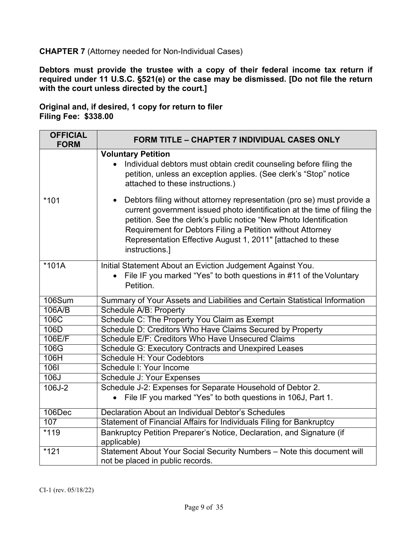### **CHAPTER 7** (Attorney needed for Non-Individual Cases)

**Debtors must provide the trustee with a copy of their federal income tax return if required under 11 U.S.C. §521(e) or the case may be dismissed. [Do not file the return with the court unless directed by the court.]**

#### **Original and, if desired, 1 copy for return to filer Filing Fee: \$338.00**

| <b>OFFICIAL</b><br><b>FORM</b> | <b>FORM TITLE - CHAPTER 7 INDIVIDUAL CASES ONLY</b>                                                                                                                                                                                                                                                                                                                    |
|--------------------------------|------------------------------------------------------------------------------------------------------------------------------------------------------------------------------------------------------------------------------------------------------------------------------------------------------------------------------------------------------------------------|
|                                | <b>Voluntary Petition</b><br>Individual debtors must obtain credit counseling before filing the<br>petition, unless an exception applies. (See clerk's "Stop" notice<br>attached to these instructions.)                                                                                                                                                               |
| $*101$                         | Debtors filing without attorney representation (pro se) must provide a<br>current government issued photo identification at the time of filing the<br>petition. See the clerk's public notice "New Photo Identification<br>Requirement for Debtors Filing a Petition without Attorney<br>Representation Effective August 1, 2011" [attached to these<br>instructions.] |
| *101A                          | Initial Statement About an Eviction Judgement Against You.<br>File IF you marked "Yes" to both questions in #11 of the Voluntary<br>Petition.                                                                                                                                                                                                                          |
| <b>106Sum</b>                  | Summary of Your Assets and Liabilities and Certain Statistical Information                                                                                                                                                                                                                                                                                             |
| 106A/B                         | Schedule A/B: Property                                                                                                                                                                                                                                                                                                                                                 |
| 106C                           | Schedule C: The Property You Claim as Exempt                                                                                                                                                                                                                                                                                                                           |
| 106D                           | Schedule D: Creditors Who Have Claims Secured by Property                                                                                                                                                                                                                                                                                                              |
| 106E/F                         | Schedule E/F: Creditors Who Have Unsecured Claims                                                                                                                                                                                                                                                                                                                      |
| 106G                           | Schedule G: Executory Contracts and Unexpired Leases                                                                                                                                                                                                                                                                                                                   |
| 106H                           | <b>Schedule H: Your Codebtors</b>                                                                                                                                                                                                                                                                                                                                      |
| 1061                           | Schedule I: Your Income                                                                                                                                                                                                                                                                                                                                                |
| 106J<br>106J-2                 | Schedule J: Your Expenses                                                                                                                                                                                                                                                                                                                                              |
|                                | Schedule J-2: Expenses for Separate Household of Debtor 2.<br>File IF you marked "Yes" to both questions in 106J, Part 1.<br>$\bullet$                                                                                                                                                                                                                                 |
| 106Dec                         | Declaration About an Individual Debtor's Schedules                                                                                                                                                                                                                                                                                                                     |
| 107                            | Statement of Financial Affairs for Individuals Filing for Bankruptcy                                                                                                                                                                                                                                                                                                   |
| $*119$                         | Bankruptcy Petition Preparer's Notice, Declaration, and Signature (if<br>applicable)                                                                                                                                                                                                                                                                                   |
| $*121$                         | Statement About Your Social Security Numbers - Note this document will<br>not be placed in public records.                                                                                                                                                                                                                                                             |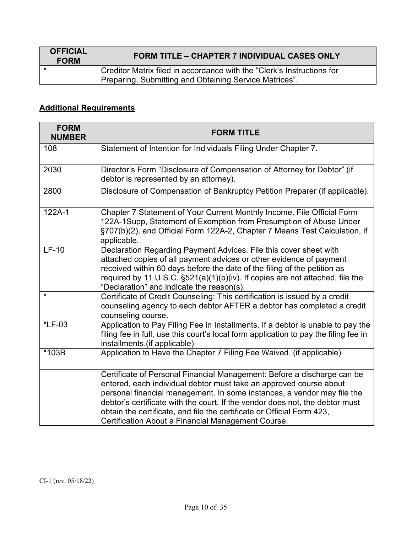| <b>OFFICIAL</b><br><b>FORM</b> | <b>FORM TITLE - CHAPTER 7 INDIVIDUAL CASES ONLY</b>                                                                              |
|--------------------------------|----------------------------------------------------------------------------------------------------------------------------------|
|                                | Creditor Matrix filed in accordance with the "Clerk's Instructions for<br>Preparing, Submitting and Obtaining Service Matrices". |

| <b>FORM</b><br><b>NUMBER</b> | <b>FORM TITLE</b>                                                                                                                                                                                                                                                                                                                                                                                                                        |
|------------------------------|------------------------------------------------------------------------------------------------------------------------------------------------------------------------------------------------------------------------------------------------------------------------------------------------------------------------------------------------------------------------------------------------------------------------------------------|
| 108                          | Statement of Intention for Individuals Filing Under Chapter 7.                                                                                                                                                                                                                                                                                                                                                                           |
| 2030                         | Director's Form "Disclosure of Compensation of Attorney for Debtor" (if<br>debtor is represented by an attorney).                                                                                                                                                                                                                                                                                                                        |
| 2800                         | Disclosure of Compensation of Bankruptcy Petition Preparer (if applicable).                                                                                                                                                                                                                                                                                                                                                              |
| 122A-1                       | Chapter 7 Statement of Your Current Monthly Income. File Official Form<br>122A-1Supp, Statement of Exemption from Presumption of Abuse Under<br>§707(b)(2), and Official Form 122A-2, Chapter 7 Means Test Calculation, if<br>applicable.                                                                                                                                                                                                |
| $LF-10$                      | Declaration Regarding Payment Advices. File this cover sheet with<br>attached copies of all payment advices or other evidence of payment<br>received within 60 days before the date of the filing of the petition as<br>required by 11 U.S.C. §521(a)(1)(b)(iv). If copies are not attached, file the<br>"Declaration" and indicate the reason(s).                                                                                       |
| $\star$                      | Certificate of Credit Counseling: This certification is issued by a credit<br>counseling agency to each debtor AFTER a debtor has completed a credit<br>counseling course.                                                                                                                                                                                                                                                               |
| *LF-03                       | Application to Pay Filing Fee in Installments. If a debtor is unable to pay the<br>filing fee in full, use this court's local form application to pay the filing fee in<br>installments.(if applicable)                                                                                                                                                                                                                                  |
| *103B                        | Application to Have the Chapter 7 Filing Fee Waived. (if applicable)                                                                                                                                                                                                                                                                                                                                                                     |
|                              | Certificate of Personal Financial Management: Before a discharge can be<br>entered, each individual debtor must take an approved course about<br>personal financial management. In some instances, a vendor may file the<br>debtor's certificate with the court. If the vendor does not, the debtor must<br>obtain the certificate, and file the certificate or Official Form 423,<br>Certification About a Financial Management Course. |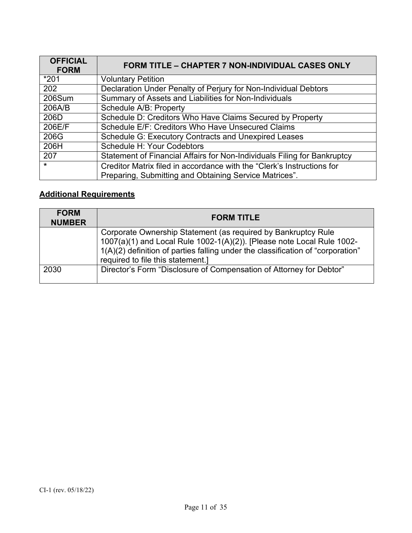| <b>OFFICIAL</b><br><b>FORM</b> | FORM TITLE - CHAPTER 7 NON-INDIVIDUAL CASES ONLY                         |
|--------------------------------|--------------------------------------------------------------------------|
| $*201$                         | <b>Voluntary Petition</b>                                                |
| 202                            | Declaration Under Penalty of Perjury for Non-Individual Debtors          |
| 206Sum                         | Summary of Assets and Liabilities for Non-Individuals                    |
| 206A/B                         | Schedule A/B: Property                                                   |
| 206D                           | Schedule D: Creditors Who Have Claims Secured by Property                |
| 206E/F                         | Schedule E/F: Creditors Who Have Unsecured Claims                        |
| 206G                           | <b>Schedule G: Executory Contracts and Unexpired Leases</b>              |
| 206H                           | Schedule H: Your Codebtors                                               |
| 207                            | Statement of Financial Affairs for Non-Individuals Filing for Bankruptcy |
| $\star$                        | Creditor Matrix filed in accordance with the "Clerk's Instructions for   |
|                                | Preparing, Submitting and Obtaining Service Matrices".                   |

| <b>FORM</b><br><b>NUMBER</b> | <b>FORM TITLE</b>                                                                                                                                                                                                                                               |
|------------------------------|-----------------------------------------------------------------------------------------------------------------------------------------------------------------------------------------------------------------------------------------------------------------|
|                              | Corporate Ownership Statement (as required by Bankruptcy Rule<br>1007(a)(1) and Local Rule 1002-1(A)(2)). [Please note Local Rule 1002-<br>1(A)(2) definition of parties falling under the classification of "corporation"<br>required to file this statement.] |
| 2030                         | Director's Form "Disclosure of Compensation of Attorney for Debtor"                                                                                                                                                                                             |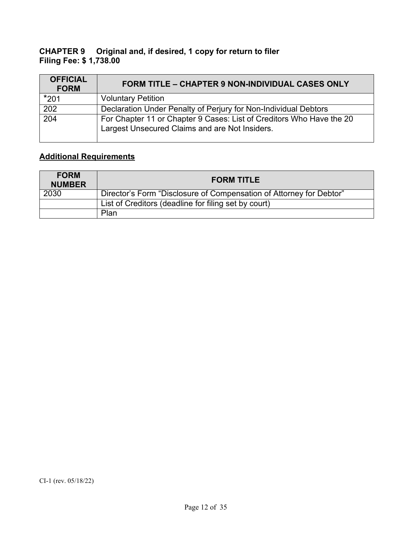### **CHAPTER 9 Original and, if desired, 1 copy for return to filer Filing Fee: \$ 1,738.00**

| <b>OFFICIAL</b><br><b>FORM</b> | <b>FORM TITLE - CHAPTER 9 NON-INDIVIDUAL CASES ONLY</b>                                                                |
|--------------------------------|------------------------------------------------------------------------------------------------------------------------|
| $*201$                         | <b>Voluntary Petition</b>                                                                                              |
| 202                            | Declaration Under Penalty of Perjury for Non-Individual Debtors                                                        |
| $\overline{204}$               | For Chapter 11 or Chapter 9 Cases: List of Creditors Who Have the 20<br>Largest Unsecured Claims and are Not Insiders. |

| <b>FORM</b><br><b>NUMBER</b> | <b>FORM TITLE</b>                                                   |
|------------------------------|---------------------------------------------------------------------|
| 2030                         | Director's Form "Disclosure of Compensation of Attorney for Debtor" |
|                              | List of Creditors (deadline for filing set by court)                |
|                              | Plan                                                                |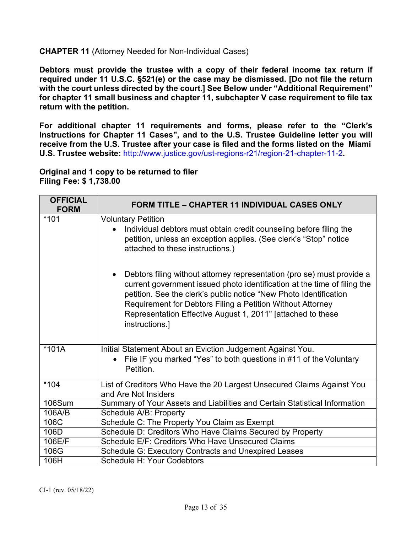### **CHAPTER 11** (Attorney Needed for Non-Individual Cases)

**Debtors must provide the trustee with a copy of their federal income tax return if required under 11 U.S.C. §521(e) or the case may be dismissed. [Do not file the return with the court unless directed by the court.] See Below under "Additional Requirement" for chapter 11 small business and chapter 11, subchapter V case requirement to file tax return with the petition.**

**For additional chapter 11 requirements and forms, please refer to the "Clerk's Instructions for Chapter 11 Cases", and to the U.S. Trustee Guideline letter you will receive from the U.S. Trustee after your case is filed and the forms listed on the Miami U.S. Trustee website:** <http://www.justice.gov/ust-regions-r21/region-21-chapter-11-2>**.**

**Original and 1 copy to be returned to filer Filing Fee: \$ 1,738.00**

| <b>OFFICIAL</b><br><b>FORM</b> | <b>FORM TITLE - CHAPTER 11 INDIVIDUAL CASES ONLY</b>                                                                                                                                                                                                                                                                                                                   |
|--------------------------------|------------------------------------------------------------------------------------------------------------------------------------------------------------------------------------------------------------------------------------------------------------------------------------------------------------------------------------------------------------------------|
| $*101$                         | <b>Voluntary Petition</b><br>Individual debtors must obtain credit counseling before filing the<br>petition, unless an exception applies. (See clerk's "Stop" notice<br>attached to these instructions.)                                                                                                                                                               |
|                                | Debtors filing without attorney representation (pro se) must provide a<br>current government issued photo identification at the time of filing the<br>petition. See the clerk's public notice "New Photo Identification<br>Requirement for Debtors Filing a Petition Without Attorney<br>Representation Effective August 1, 2011" [attached to these<br>instructions.] |
| $*101A$                        | Initial Statement About an Eviction Judgement Against You.<br>File IF you marked "Yes" to both questions in #11 of the Voluntary<br>Petition.                                                                                                                                                                                                                          |
| $*104$                         | List of Creditors Who Have the 20 Largest Unsecured Claims Against You<br>and Are Not Insiders                                                                                                                                                                                                                                                                         |
| 106Sum                         | Summary of Your Assets and Liabilities and Certain Statistical Information                                                                                                                                                                                                                                                                                             |
| 106A/B                         | Schedule A/B: Property                                                                                                                                                                                                                                                                                                                                                 |
| 106C                           | Schedule C: The Property You Claim as Exempt                                                                                                                                                                                                                                                                                                                           |
| 106D                           | Schedule D: Creditors Who Have Claims Secured by Property                                                                                                                                                                                                                                                                                                              |
| 106E/F                         | Schedule E/F: Creditors Who Have Unsecured Claims                                                                                                                                                                                                                                                                                                                      |
| 106G                           | <b>Schedule G: Executory Contracts and Unexpired Leases</b>                                                                                                                                                                                                                                                                                                            |
| 106H                           | Schedule H: Your Codebtors                                                                                                                                                                                                                                                                                                                                             |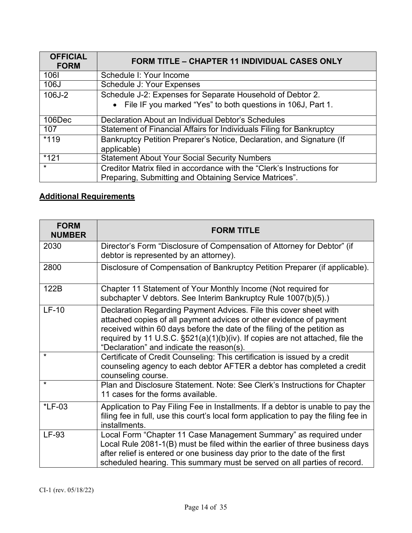| <b>OFFICIAL</b><br><b>FORM</b> | <b>FORM TITLE - CHAPTER 11 INDIVIDUAL CASES ONLY</b>                                                                             |
|--------------------------------|----------------------------------------------------------------------------------------------------------------------------------|
| 1061                           | Schedule I: Your Income                                                                                                          |
| 106J                           | Schedule J: Your Expenses                                                                                                        |
| 106J-2                         | Schedule J-2: Expenses for Separate Household of Debtor 2.                                                                       |
|                                | • File IF you marked "Yes" to both questions in 106J, Part 1.                                                                    |
| 106Dec                         | Declaration About an Individual Debtor's Schedules                                                                               |
| 107                            | Statement of Financial Affairs for Individuals Filing for Bankruptcy                                                             |
| $*119$                         | Bankruptcy Petition Preparer's Notice, Declaration, and Signature (If<br>applicable)                                             |
| $*121$                         | <b>Statement About Your Social Security Numbers</b>                                                                              |
| $\star$                        | Creditor Matrix filed in accordance with the "Clerk's Instructions for<br>Preparing, Submitting and Obtaining Service Matrices". |

| <b>FORM</b><br><b>NUMBER</b> | <b>FORM TITLE</b>                                                                                                                                                                                                                                                                                                                                  |
|------------------------------|----------------------------------------------------------------------------------------------------------------------------------------------------------------------------------------------------------------------------------------------------------------------------------------------------------------------------------------------------|
| 2030                         | Director's Form "Disclosure of Compensation of Attorney for Debtor" (if<br>debtor is represented by an attorney).                                                                                                                                                                                                                                  |
| 2800                         | Disclosure of Compensation of Bankruptcy Petition Preparer (if applicable).                                                                                                                                                                                                                                                                        |
| 122B                         | Chapter 11 Statement of Your Monthly Income (Not required for<br>subchapter V debtors. See Interim Bankruptcy Rule 1007(b)(5).)                                                                                                                                                                                                                    |
| $LF-10$                      | Declaration Regarding Payment Advices. File this cover sheet with<br>attached copies of all payment advices or other evidence of payment<br>received within 60 days before the date of the filing of the petition as<br>required by 11 U.S.C. §521(a)(1)(b)(iv). If copies are not attached, file the<br>"Declaration" and indicate the reason(s). |
| $\star$                      | Certificate of Credit Counseling: This certification is issued by a credit<br>counseling agency to each debtor AFTER a debtor has completed a credit<br>counseling course.                                                                                                                                                                         |
| ¥                            | Plan and Disclosure Statement. Note: See Clerk's Instructions for Chapter<br>11 cases for the forms available.                                                                                                                                                                                                                                     |
| *LF-03                       | Application to Pay Filing Fee in Installments. If a debtor is unable to pay the<br>filing fee in full, use this court's local form application to pay the filing fee in<br>installments.                                                                                                                                                           |
| $LF-93$                      | Local Form "Chapter 11 Case Management Summary" as required under<br>Local Rule 2081-1(B) must be filed within the earlier of three business days<br>after relief is entered or one business day prior to the date of the first<br>scheduled hearing. This summary must be served on all parties of record.                                        |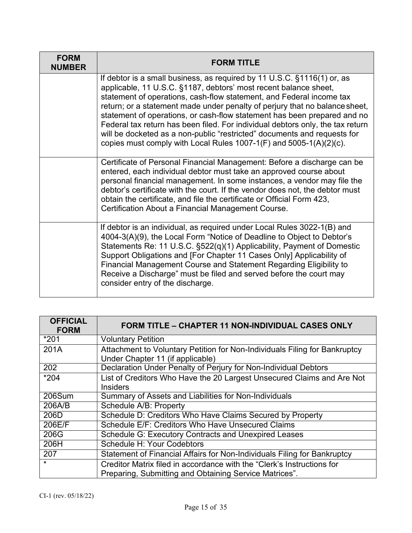| <b>FORM</b><br><b>NUMBER</b> | <b>FORM TITLE</b>                                                                                                                                                                                                                                                                                                                                                                                                                                                                                                                                                                                                  |
|------------------------------|--------------------------------------------------------------------------------------------------------------------------------------------------------------------------------------------------------------------------------------------------------------------------------------------------------------------------------------------------------------------------------------------------------------------------------------------------------------------------------------------------------------------------------------------------------------------------------------------------------------------|
|                              | If debtor is a small business, as required by 11 U.S.C. §1116(1) or, as<br>applicable, 11 U.S.C. §1187, debtors' most recent balance sheet,<br>statement of operations, cash-flow statement, and Federal income tax<br>return; or a statement made under penalty of perjury that no balance sheet,<br>statement of operations, or cash-flow statement has been prepared and no<br>Federal tax return has been filed. For individual debtors only, the tax return<br>will be docketed as a non-public "restricted" documents and requests for<br>copies must comply with Local Rules 1007-1(F) and 5005-1(A)(2)(c). |
|                              | Certificate of Personal Financial Management: Before a discharge can be<br>entered, each individual debtor must take an approved course about<br>personal financial management. In some instances, a vendor may file the<br>debtor's certificate with the court. If the vendor does not, the debtor must<br>obtain the certificate, and file the certificate or Official Form 423,<br>Certification About a Financial Management Course.                                                                                                                                                                           |
|                              | If debtor is an individual, as required under Local Rules 3022-1(B) and<br>4004-3(A)(9), the Local Form "Notice of Deadline to Object to Debtor's<br>Statements Re: 11 U.S.C. §522(q)(1) Applicability, Payment of Domestic<br>Support Obligations and [For Chapter 11 Cases Only] Applicability of<br>Financial Management Course and Statement Regarding Eligibility to<br>Receive a Discharge" must be filed and served before the court may<br>consider entry of the discharge.                                                                                                                                |

| <b>OFFICIAL</b><br><b>FORM</b> | <b>FORM TITLE - CHAPTER 11 NON-INDIVIDUAL CASES ONLY</b>                   |
|--------------------------------|----------------------------------------------------------------------------|
| $*201$                         | <b>Voluntary Petition</b>                                                  |
| 201A                           | Attachment to Voluntary Petition for Non-Individuals Filing for Bankruptcy |
|                                | Under Chapter 11 (if applicable)                                           |
| 202                            | Declaration Under Penalty of Perjury for Non-Individual Debtors            |
| $*204$                         | List of Creditors Who Have the 20 Largest Unsecured Claims and Are Not     |
|                                | <b>Insiders</b>                                                            |
| 206Sum                         | Summary of Assets and Liabilities for Non-Individuals                      |
| 206A/B                         | Schedule A/B: Property                                                     |
| 206D                           | Schedule D: Creditors Who Have Claims Secured by Property                  |
| 206E/F                         | Schedule E/F: Creditors Who Have Unsecured Claims                          |
| 206G                           | Schedule G: Executory Contracts and Unexpired Leases                       |
| 206H                           | Schedule H: Your Codebtors                                                 |
| 207                            | Statement of Financial Affairs for Non-Individuals Filing for Bankruptcy   |
| $\star$                        | Creditor Matrix filed in accordance with the "Clerk's Instructions for     |
|                                | Preparing, Submitting and Obtaining Service Matrices".                     |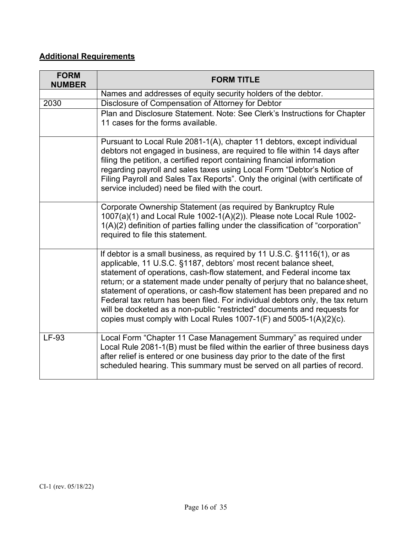| <b>FORM</b><br><b>NUMBER</b> | <b>FORM TITLE</b>                                                                                                                                                                                                                                                                                                                                                                                                                                                                                                                                                                                                       |  |  |
|------------------------------|-------------------------------------------------------------------------------------------------------------------------------------------------------------------------------------------------------------------------------------------------------------------------------------------------------------------------------------------------------------------------------------------------------------------------------------------------------------------------------------------------------------------------------------------------------------------------------------------------------------------------|--|--|
|                              | Names and addresses of equity security holders of the debtor.                                                                                                                                                                                                                                                                                                                                                                                                                                                                                                                                                           |  |  |
| 2030                         | Disclosure of Compensation of Attorney for Debtor                                                                                                                                                                                                                                                                                                                                                                                                                                                                                                                                                                       |  |  |
|                              | Plan and Disclosure Statement. Note: See Clerk's Instructions for Chapter<br>11 cases for the forms available.                                                                                                                                                                                                                                                                                                                                                                                                                                                                                                          |  |  |
|                              | Pursuant to Local Rule 2081-1(A), chapter 11 debtors, except individual<br>debtors not engaged in business, are required to file within 14 days after<br>filing the petition, a certified report containing financial information<br>regarding payroll and sales taxes using Local Form "Debtor's Notice of<br>Filing Payroll and Sales Tax Reports". Only the original (with certificate of<br>service included) need be filed with the court.                                                                                                                                                                         |  |  |
|                              | Corporate Ownership Statement (as required by Bankruptcy Rule<br>1007(a)(1) and Local Rule 1002-1(A)(2)). Please note Local Rule 1002-<br>1(A)(2) definition of parties falling under the classification of "corporation"<br>required to file this statement.                                                                                                                                                                                                                                                                                                                                                           |  |  |
|                              | If debtor is a small business, as required by 11 U.S.C. §1116(1), or as<br>applicable, 11 U.S.C. §1187, debtors' most recent balance sheet,<br>statement of operations, cash-flow statement, and Federal income tax<br>return; or a statement made under penalty of perjury that no balance sheet,<br>statement of operations, or cash-flow statement has been prepared and no<br>Federal tax return has been filed. For individual debtors only, the tax return<br>will be docketed as a non-public "restricted" documents and requests for<br>copies must comply with Local Rules $1007-1(F)$ and $5005-1(A)(2)(c)$ . |  |  |
| <b>LF-93</b>                 | Local Form "Chapter 11 Case Management Summary" as required under<br>Local Rule 2081-1(B) must be filed within the earlier of three business days<br>after relief is entered or one business day prior to the date of the first<br>scheduled hearing. This summary must be served on all parties of record.                                                                                                                                                                                                                                                                                                             |  |  |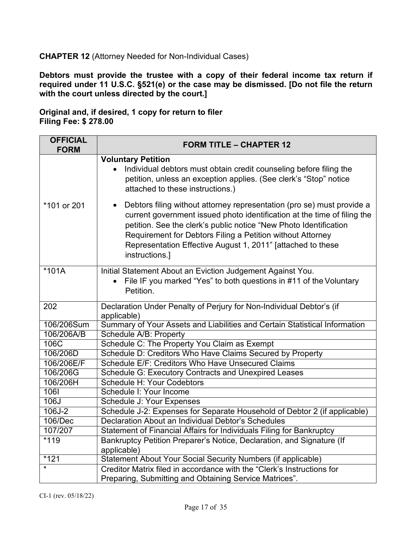### **CHAPTER 12** (Attorney Needed for Non-Individual Cases)

**Debtors must provide the trustee with a copy of their federal income tax return if required under 11 U.S.C. §521(e) or the case may be dismissed. [Do not file the return with the court unless directed by the court.]**

**Original and, if desired, 1 copy for return to filer Filing Fee: \$ 278.00**

| <b>OFFICIAL</b><br><b>FORM</b> | <b>FORM TITLE - CHAPTER 12</b>                                                                                                                                                                                                                                                                                                                                         |  |  |  |
|--------------------------------|------------------------------------------------------------------------------------------------------------------------------------------------------------------------------------------------------------------------------------------------------------------------------------------------------------------------------------------------------------------------|--|--|--|
|                                | <b>Voluntary Petition</b><br>Individual debtors must obtain credit counseling before filing the<br>petition, unless an exception applies. (See clerk's "Stop" notice<br>attached to these instructions.)                                                                                                                                                               |  |  |  |
| *101 or 201                    | Debtors filing without attorney representation (pro se) must provide a<br>current government issued photo identification at the time of filing the<br>petition. See the clerk's public notice "New Photo Identification<br>Requirement for Debtors Filing a Petition without Attorney<br>Representation Effective August 1, 2011" [attached to these<br>instructions.] |  |  |  |
| *101A                          | Initial Statement About an Eviction Judgement Against You.<br>File IF you marked "Yes" to both questions in #11 of the Voluntary<br>Petition.                                                                                                                                                                                                                          |  |  |  |
| 202                            | Declaration Under Penalty of Perjury for Non-Individual Debtor's (if<br>applicable)                                                                                                                                                                                                                                                                                    |  |  |  |
| 106/206Sum                     | Summary of Your Assets and Liabilities and Certain Statistical Information                                                                                                                                                                                                                                                                                             |  |  |  |
| 106/206A/B                     | <b>Schedule A/B: Property</b>                                                                                                                                                                                                                                                                                                                                          |  |  |  |
| 106C                           | Schedule C: The Property You Claim as Exempt                                                                                                                                                                                                                                                                                                                           |  |  |  |
| 106/206D                       | Schedule D: Creditors Who Have Claims Secured by Property                                                                                                                                                                                                                                                                                                              |  |  |  |
| 106/206E/F                     | Schedule E/F: Creditors Who Have Unsecured Claims                                                                                                                                                                                                                                                                                                                      |  |  |  |
| 106/206G                       | Schedule G: Executory Contracts and Unexpired Leases                                                                                                                                                                                                                                                                                                                   |  |  |  |
| 106/206H                       | <b>Schedule H: Your Codebtors</b>                                                                                                                                                                                                                                                                                                                                      |  |  |  |
| 1061                           | Schedule I: Your Income                                                                                                                                                                                                                                                                                                                                                |  |  |  |
| 106J                           | Schedule J: Your Expenses                                                                                                                                                                                                                                                                                                                                              |  |  |  |
| $106J-2$                       | Schedule J-2: Expenses for Separate Household of Debtor 2 (if applicable)                                                                                                                                                                                                                                                                                              |  |  |  |
| 106/Dec                        | <b>Declaration About an Individual Debtor's Schedules</b>                                                                                                                                                                                                                                                                                                              |  |  |  |
| 107/207                        | Statement of Financial Affairs for Individuals Filing for Bankruptcy                                                                                                                                                                                                                                                                                                   |  |  |  |
| $*119$                         | Bankruptcy Petition Preparer's Notice, Declaration, and Signature (If<br>applicable)                                                                                                                                                                                                                                                                                   |  |  |  |
| $*121$                         | Statement About Your Social Security Numbers (if applicable)                                                                                                                                                                                                                                                                                                           |  |  |  |
| $\star$                        | Creditor Matrix filed in accordance with the "Clerk's Instructions for                                                                                                                                                                                                                                                                                                 |  |  |  |
|                                | Preparing, Submitting and Obtaining Service Matrices".                                                                                                                                                                                                                                                                                                                 |  |  |  |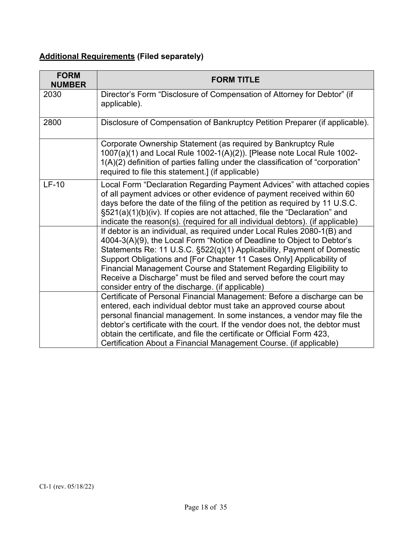# **Additional Requirements (Filed separately)**

| <b>FORM</b><br><b>NUMBER</b> | <b>FORM TITLE</b>                                                                                                                                                                                                                                                                                                                                                                                                                                                                                   |  |  |
|------------------------------|-----------------------------------------------------------------------------------------------------------------------------------------------------------------------------------------------------------------------------------------------------------------------------------------------------------------------------------------------------------------------------------------------------------------------------------------------------------------------------------------------------|--|--|
| 2030                         | Director's Form "Disclosure of Compensation of Attorney for Debtor" (if<br>applicable).                                                                                                                                                                                                                                                                                                                                                                                                             |  |  |
| 2800                         | Disclosure of Compensation of Bankruptcy Petition Preparer (if applicable).                                                                                                                                                                                                                                                                                                                                                                                                                         |  |  |
|                              | Corporate Ownership Statement (as required by Bankruptcy Rule<br>1007(a)(1) and Local Rule 1002-1(A)(2)). [Please note Local Rule 1002-<br>1(A)(2) definition of parties falling under the classification of "corporation"<br>required to file this statement.] (if applicable)                                                                                                                                                                                                                     |  |  |
| $LF-10$                      | Local Form "Declaration Regarding Payment Advices" with attached copies<br>of all payment advices or other evidence of payment received within 60<br>days before the date of the filing of the petition as required by 11 U.S.C.<br>§521(a)(1)(b)(iv). If copies are not attached, file the "Declaration" and<br>indicate the reason(s). (required for all individual debtors). (if applicable)                                                                                                     |  |  |
|                              | If debtor is an individual, as required under Local Rules 2080-1(B) and<br>4004-3(A)(9), the Local Form "Notice of Deadline to Object to Debtor's<br>Statements Re: 11 U.S.C. §522(q)(1) Applicability, Payment of Domestic<br>Support Obligations and [For Chapter 11 Cases Only] Applicability of<br>Financial Management Course and Statement Regarding Eligibility to<br>Receive a Discharge" must be filed and served before the court may<br>consider entry of the discharge. (if applicable) |  |  |
|                              | Certificate of Personal Financial Management: Before a discharge can be<br>entered, each individual debtor must take an approved course about<br>personal financial management. In some instances, a vendor may file the<br>debtor's certificate with the court. If the vendor does not, the debtor must<br>obtain the certificate, and file the certificate or Official Form 423,<br>Certification About a Financial Management Course. (if applicable)                                            |  |  |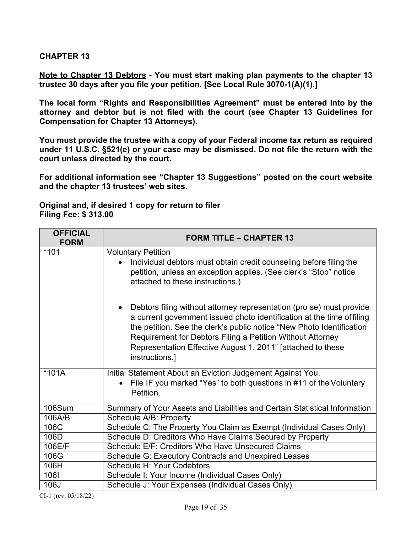### **CHAPTER 13**

**Note to Chapter 13 Debtors** - **You must start making plan payments to the chapter 13 trustee 30 days after you file your petition. [See Local Rule 3070-1(A)(1).]**

**The local form "Rights and Responsibilities Agreement" must be entered into by the attorney and debtor but is not filed with the court (see Chapter 13 Guidelines for Compensation for Chapter 13 Attorneys).**

**You must provide the trustee with a copy of your Federal income tax return as required under 11 U.S.C. §521(e) or your case may be dismissed. Do not file the return with the court unless directed by the court.**

**For additional information see "Chapter 13 Suggestions" posted on the court website and the chapter 13 trustees' web sites.**

**Original and, if desired 1 copy for return to filer Filing Fee: \$ 313.00**

| <b>OFFICIAL</b><br><b>FORM</b> | <b>FORM TITLE - CHAPTER 13</b>                                                                                                                                                                                                                                                                                                                                         |  |  |  |
|--------------------------------|------------------------------------------------------------------------------------------------------------------------------------------------------------------------------------------------------------------------------------------------------------------------------------------------------------------------------------------------------------------------|--|--|--|
| $*101$                         | <b>Voluntary Petition</b>                                                                                                                                                                                                                                                                                                                                              |  |  |  |
|                                | Individual debtors must obtain credit counseling before filing the<br>petition, unless an exception applies. (See clerk's "Stop" notice<br>attached to these instructions.)                                                                                                                                                                                            |  |  |  |
|                                | Debtors filing without attorney representation (pro se) must provide<br>a current government issued photo identification at the time of filing<br>the petition. See the clerk's public notice "New Photo Identification<br>Requirement for Debtors Filing a Petition Without Attorney<br>Representation Effective August 1, 2011" [attached to these<br>instructions.] |  |  |  |
| $*101A$                        | Initial Statement About an Eviction Judgement Against You.                                                                                                                                                                                                                                                                                                             |  |  |  |
|                                | File IF you marked "Yes" to both questions in #11 of the Voluntary                                                                                                                                                                                                                                                                                                     |  |  |  |
|                                | Petition.                                                                                                                                                                                                                                                                                                                                                              |  |  |  |
| 106Sum                         | Summary of Your Assets and Liabilities and Certain Statistical Information                                                                                                                                                                                                                                                                                             |  |  |  |
| 106A/B                         | Schedule A/B: Property                                                                                                                                                                                                                                                                                                                                                 |  |  |  |
| 106C                           | Schedule C: The Property You Claim as Exempt (Individual Cases Only)                                                                                                                                                                                                                                                                                                   |  |  |  |
| 106D                           | Schedule D: Creditors Who Have Claims Secured by Property                                                                                                                                                                                                                                                                                                              |  |  |  |
| 106E/F                         | Schedule E/F: Creditors Who Have Unsecured Claims                                                                                                                                                                                                                                                                                                                      |  |  |  |
| 106G                           | Schedule G: Executory Contracts and Unexpired Leases                                                                                                                                                                                                                                                                                                                   |  |  |  |
| 106H                           | Schedule H: Your Codebtors                                                                                                                                                                                                                                                                                                                                             |  |  |  |
| 1061                           | Schedule I: Your Income (Individual Cases Only)                                                                                                                                                                                                                                                                                                                        |  |  |  |
| 106J                           | Schedule J: Your Expenses (Individual Cases Only)                                                                                                                                                                                                                                                                                                                      |  |  |  |

CI-1 (rev. 05/18/22)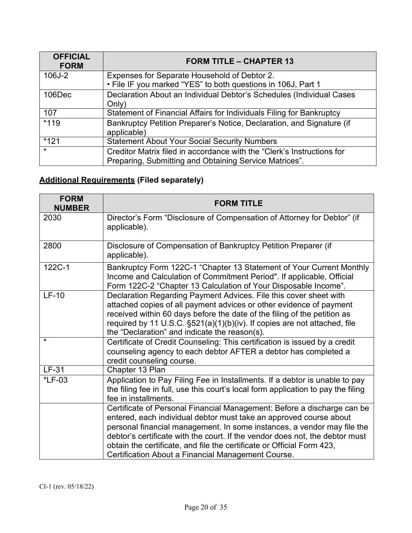| <b>OFFICIAL</b><br><b>FORM</b> | <b>FORM TITLE - CHAPTER 13</b>                                                                                                   |
|--------------------------------|----------------------------------------------------------------------------------------------------------------------------------|
| $106J-2$                       | Expenses for Separate Household of Debtor 2.<br>. File IF you marked "YES" to both questions in 106J, Part 1                     |
| 106Dec                         | Declaration About an Individual Debtor's Schedules (Individual Cases<br>Only)                                                    |
| 107                            | Statement of Financial Affairs for Individuals Filing for Bankruptcy                                                             |
| $*119$                         | Bankruptcy Petition Preparer's Notice, Declaration, and Signature (if<br>applicable)                                             |
| $*121$                         | <b>Statement About Your Social Security Numbers</b>                                                                              |
| $\star$                        | Creditor Matrix filed in accordance with the "Clerk's Instructions for<br>Preparing, Submitting and Obtaining Service Matrices". |

# **Additional Requirements (Filed separately)**

| <b>FORM</b><br><b>NUMBER</b> | <b>FORM TITLE</b>                                                                                                                                                                                                                                                                                                                                                                                                                        |
|------------------------------|------------------------------------------------------------------------------------------------------------------------------------------------------------------------------------------------------------------------------------------------------------------------------------------------------------------------------------------------------------------------------------------------------------------------------------------|
| 2030                         | Director's Form "Disclosure of Compensation of Attorney for Debtor" (if<br>applicable).                                                                                                                                                                                                                                                                                                                                                  |
| 2800                         | Disclosure of Compensation of Bankruptcy Petition Preparer (if<br>applicable).                                                                                                                                                                                                                                                                                                                                                           |
| 122C-1                       | Bankruptcy Form 122C-1 "Chapter 13 Statement of Your Current Monthly<br>Income and Calculation of Commitment Period". If applicable, Official<br>Form 122C-2 "Chapter 13 Calculation of Your Disposable Income".                                                                                                                                                                                                                         |
| $LF-10$                      | Declaration Regarding Payment Advices. File this cover sheet with<br>attached copies of all payment advices or other evidence of payment<br>received within 60 days before the date of the filing of the petition as<br>required by 11 U.S.C. §521(a)(1)(b)(iv). If copies are not attached, file<br>the "Declaration" and indicate the reason(s).                                                                                       |
| $\star$                      | Certificate of Credit Counseling: This certification is issued by a credit<br>counseling agency to each debtor AFTER a debtor has completed a<br>credit counseling course.                                                                                                                                                                                                                                                               |
| $LF-31$                      | Chapter 13 Plan                                                                                                                                                                                                                                                                                                                                                                                                                          |
| *LF-03                       | Application to Pay Filing Fee in Installments. If a debtor is unable to pay<br>the filing fee in full, use this court's local form application to pay the filing<br>fee in installments.                                                                                                                                                                                                                                                 |
|                              | Certificate of Personal Financial Management: Before a discharge can be<br>entered, each individual debtor must take an approved course about<br>personal financial management. In some instances, a vendor may file the<br>debtor's certificate with the court. If the vendor does not, the debtor must<br>obtain the certificate, and file the certificate or Official Form 423,<br>Certification About a Financial Management Course. |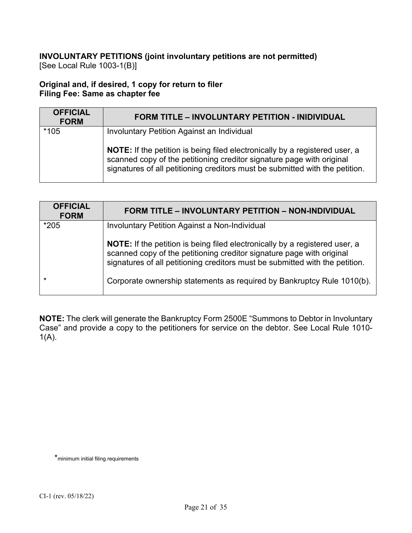### **INVOLUNTARY PETITIONS (joint involuntary petitions are not permitted)**

[See Local Rule 1003-1(B)]

#### **Original and, if desired, 1 copy for return to filer Filing Fee: Same as chapter fee**

| <b>OFFICIAL</b><br><b>FORM</b> | FORM TITLE - INVOLUNTARY PETITION - INIDIVIDUAL                                                                                                                                                                                                                                    |
|--------------------------------|------------------------------------------------------------------------------------------------------------------------------------------------------------------------------------------------------------------------------------------------------------------------------------|
| $*105$                         | Involuntary Petition Against an Individual<br>NOTE: If the petition is being filed electronically by a registered user, a<br>scanned copy of the petitioning creditor signature page with original<br>signatures of all petitioning creditors must be submitted with the petition. |

| <b>OFFICIAL</b><br><b>FORM</b> | FORM TITLE - INVOLUNTARY PETITION - NON-INDIVIDUAL                                                                                                                                                                                   |
|--------------------------------|--------------------------------------------------------------------------------------------------------------------------------------------------------------------------------------------------------------------------------------|
| $*205$                         | Involuntary Petition Against a Non-Individual                                                                                                                                                                                        |
|                                | NOTE: If the petition is being filed electronically by a registered user, a<br>scanned copy of the petitioning creditor signature page with original<br>signatures of all petitioning creditors must be submitted with the petition. |
| $\star$                        | Corporate ownership statements as required by Bankruptcy Rule 1010(b).                                                                                                                                                               |

**NOTE:** The clerk will generate the Bankruptcy Form 2500E "Summons to Debtor in Involuntary Case" and provide a copy to the petitioners for service on the debtor. See Local Rule 1010-  $1(A)$ .

\*minimum initial filing requirements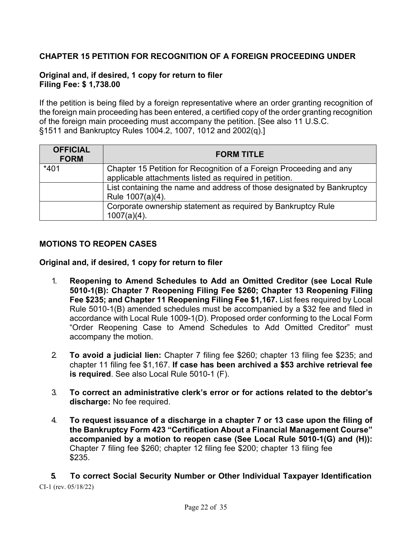### **CHAPTER 15 PETITION FOR RECOGNITION OF A FOREIGN PROCEEDING UNDER**

### **Original and, if desired, 1 copy for return to filer Filing Fee: \$ 1,738.00**

If the petition is being filed by a foreign representative where an order granting recognition of the foreign main proceeding has been entered, a certified copy of the order granting recognition of the foreign main proceeding must accompany the petition. [See also 11 U.S.C. §1511 and Bankruptcy Rules 1004.2, 1007, 1012 and 2002(q).]

| <b>OFFICIAL</b><br><b>FORM</b> | <b>FORM TITLE</b>                                                                                                             |  |
|--------------------------------|-------------------------------------------------------------------------------------------------------------------------------|--|
| $*401$                         | Chapter 15 Petition for Recognition of a Foreign Proceeding and any<br>applicable attachments listed as required in petition. |  |
|                                | List containing the name and address of those designated by Bankruptcy<br>Rule 1007(a)(4).                                    |  |
|                                | Corporate ownership statement as required by Bankruptcy Rule<br>$1007(a)(4)$ .                                                |  |

#### **MOTIONS TO REOPEN CASES**

**Original and, if desired, 1 copy for return to filer**

- 1. **Reopening to Amend Schedules to Add an Omitted Creditor (see Local Rule 5010-1(B): Chapter 7 Reopening Filing Fee \$260; Chapter 13 Reopening Filing Fee \$235; and Chapter 11 Reopening Filing Fee \$1,167.** List fees required by Local Rule 5010-1(B) amended schedules must be accompanied by a \$32 fee and filed in accordance with Local Rule 1009-1(D). Proposed order conforming to the Local Form "Order Reopening Case to Amend Schedules to Add Omitted Creditor" must accompany the motion.
- 2. **To avoid a judicial lien:** Chapter 7 filing fee \$260; chapter 13 filing fee \$235; and chapter 11 filing fee \$1,167. **If case has been archived a \$53 archive retrieval fee is required**. See also Local Rule 5010-1 (F).
- 3. **To correct an administrative clerk's error or for actions related to the debtor's discharge:** No fee required.
- 4. **To request issuance of a discharge in a chapter 7 or 13 case upon the filing of the Bankruptcy Form 423 "Certification About a Financial Management Course" accompanied by a motion to reopen case (See Local Rule 5010-1(G) and (H)):** Chapter 7 filing fee \$260; chapter 12 filing fee \$200; chapter 13 filing fee \$235.

**5. To correct Social Security Number or Other Individual Taxpayer Identification** CI-1 (rev. 05/18/22)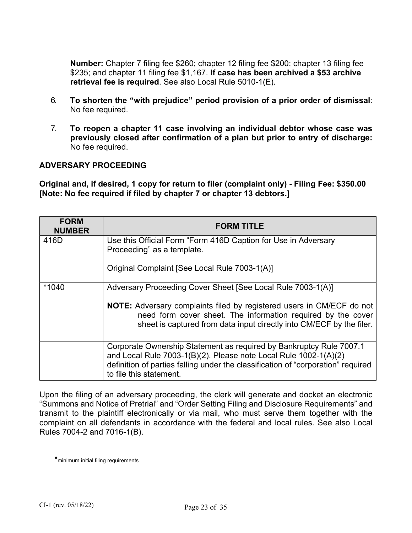**Number:** Chapter 7 filing fee \$260; chapter 12 filing fee \$200; chapter 13 filing fee \$235; and chapter 11 filing fee \$1,167. **If case has been archived a \$53 archive retrieval fee is required**. See also Local Rule 5010-1(E).

- 6. **To shorten the "with prejudice" period provision of a prior order of dismissal**: No fee required.
- 7. **To reopen a chapter 11 case involving an individual debtor whose case was previously closed after confirmation of a plan but prior to entry of discharge:**  No fee required.

#### **ADVERSARY PROCEEDING**

**Original and, if desired, 1 copy for return to filer (complaint only) - Filing Fee: \$350.00 [Note: No fee required if filed by chapter 7 or chapter 13 debtors.]**

| <b>FORM</b><br><b>NUMBER</b> | <b>FORM TITLE</b>                                                                                                                                                                                                                                      |
|------------------------------|--------------------------------------------------------------------------------------------------------------------------------------------------------------------------------------------------------------------------------------------------------|
| 416D                         | Use this Official Form "Form 416D Caption for Use in Adversary<br>Proceeding" as a template.                                                                                                                                                           |
|                              | Original Complaint [See Local Rule 7003-1(A)]                                                                                                                                                                                                          |
| *1040                        | Adversary Proceeding Cover Sheet [See Local Rule 7003-1(A)]                                                                                                                                                                                            |
|                              | <b>NOTE:</b> Adversary complaints filed by registered users in CM/ECF do not<br>need form cover sheet. The information required by the cover<br>sheet is captured from data input directly into CM/ECF by the filer.                                   |
|                              | Corporate Ownership Statement as required by Bankruptcy Rule 7007.1<br>and Local Rule 7003-1(B)(2). Please note Local Rule 1002-1(A)(2)<br>definition of parties falling under the classification of "corporation" required<br>to file this statement. |

Upon the filing of an adversary proceeding, the clerk will generate and docket an electronic "Summons and Notice of Pretrial" and "Order Setting Filing and Disclosure Requirements" and transmit to the plaintiff electronically or via mail, who must serve them together with the complaint on all defendants in accordance with the federal and local rules. See also Local Rules 7004-2 and 7016-1(B).

<sup>\*</sup>minimum initial filing requirements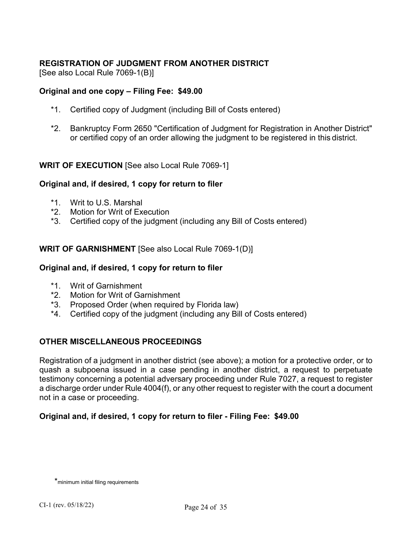### **REGISTRATION OF JUDGMENT FROM ANOTHER DISTRICT**

[See also Local Rule 7069-1(B)]

#### **Original and one copy – Filing Fee: \$49.00**

- \*1. Certified copy of Judgment (including Bill of Costs entered)
- \*2. Bankruptcy Form 2650 "Certification of Judgment for Registration in Another District" or certified copy of an order allowing the judgment to be registered in this district.

#### **WRIT OF EXECUTION** [See also Local Rule 7069-1]

#### **Original and, if desired, 1 copy for return to filer**

- \*1. Writ to U.S. Marshal
- \*2. Motion for Writ of Execution
- \*3. Certified copy of the judgment (including any Bill of Costs entered)

#### **WRIT OF GARNISHMENT** [See also Local Rule 7069-1(D)]

#### **Original and, if desired, 1 copy for return to filer**

- \*1. Writ of Garnishment
- \*2. Motion for Writ of Garnishment
- \*3. Proposed Order (when required by Florida law)
- \*4. Certified copy of the judgment (including any Bill of Costs entered)

#### **OTHER MISCELLANEOUS PROCEEDINGS**

Registration of a judgment in another district (see above); a motion for a protective order, or to quash a subpoena issued in a case pending in another district, a request to perpetuate testimony concerning a potential adversary proceeding under Rule 7027, a request to register a discharge order under Rule 4004(f), or any other request to register with the court a document not in a case or proceeding.

#### **Original and, if desired, 1 copy for return to filer - Filing Fee: \$49.00**

<sup>\*</sup>minimum initial filing requirements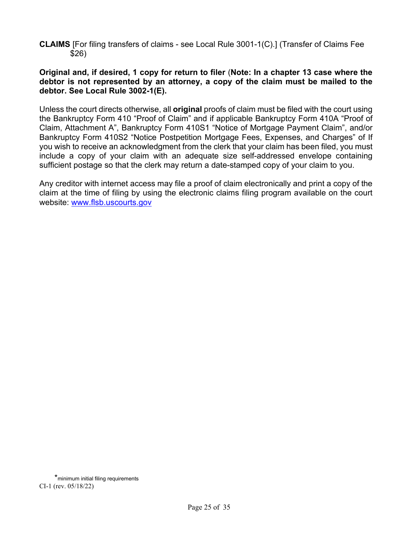**CLAIMS** [For filing transfers of claims - see Local Rule 3001-1(C).] (Transfer of Claims Fee \$26)

#### **Original and, if desired, 1 copy for return to filer** (**Note: In a chapter 13 case where the debtor is not represented by an attorney, a copy of the claim must be mailed to the debtor. See Local Rule 3002-1(E).**

Unless the court directs otherwise, all **original** proofs of claim must be filed with the court using the Bankruptcy Form 410 "Proof of Claim" and if applicable Bankruptcy Form 410A "Proof of Claim, Attachment A", Bankruptcy Form 410S1 "Notice of Mortgage Payment Claim", and/or Bankruptcy Form 410S2 "Notice Postpetition Mortgage Fees, Expenses, and Charges" of If you wish to receive an acknowledgment from the clerk that your claim has been filed, you must include a copy of your claim with an adequate size self-addressed envelope containing sufficient postage so that the clerk may return a date-stamped copy of your claim to you.

Any creditor with internet access may file a proof of claim electronically and print a copy of the claim at the time of filing by using the electronic claims filing program available on the court website: [www.flsb.uscourts.gov](http://www.flsb.uscourts.gov/)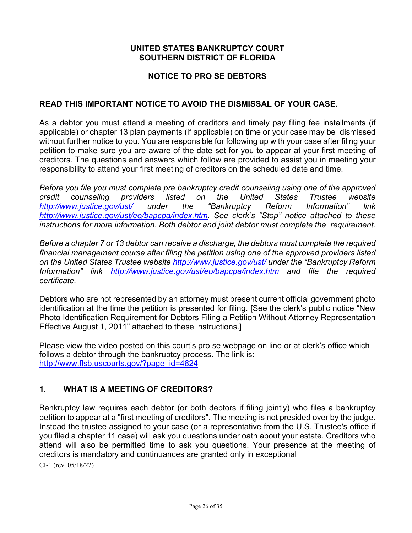### **UNITED STATES BANKRUPTCY COURT SOUTHERN DISTRICT OF FLORIDA**

### **NOTICE TO PRO SE DEBTORS**

#### **READ THIS IMPORTANT NOTICE TO AVOID THE DISMISSAL OF YOUR CASE.**

As a debtor you must attend a meeting of creditors and timely pay filing fee installments (if applicable) or chapter 13 plan payments (if applicable) on time or your case may be dismissed without further notice to you. You are responsible for following up with your case after filing your petition to make sure you are aware of the date set for you to appear at your first meeting of creditors. The questions and answers which follow are provided to assist you in meeting your responsibility to attend your first meeting of creditors on the scheduled date and time.

*Before you file you must complete pre bankruptcy credit counseling using one of the approved credit counseling providers listed on the United States Trustee website <http://www.justice.gov/ust/> under the "Bankruptcy Reform Information" link <http://www.justice.gov/ust/eo/bapcpa/index.htm>*. *See clerk's "Stop" notice attached to these instructions for more information. Both debtor and joint debtor must complete the requirement.*

*Before a chapter 7 or 13 debtor can receive a discharge, the debtors must complete the required financial management course after filing the petition using one of the approved providers listed on the United States Trustee website<http://www.justice.gov/ust/> under the "Bankruptcy Reform Information" link <http://www.justice.gov/ust/eo/bapcpa/index.htm> and file the required certificate.*

Debtors who are not represented by an attorney must present current official government photo identification at the time the petition is presented for filing. [See the clerk's public notice "New Photo Identification Requirement for Debtors Filing a Petition Without Attorney Representation Effective August 1, 2011" attached to these instructions.]

Please view the video posted on this court's pro se webpage on line or at clerk's office which follows a debtor through the bankruptcy process. The link is: [http://www.flsb.uscourts.gov/?page\\_id=4824](http://www.flsb.uscourts.gov/?page_id=4824)

#### **1. WHAT IS A MEETING OF CREDITORS?**

Bankruptcy law requires each debtor (or both debtors if filing jointly) who files a bankruptcy petition to appear at a "first meeting of creditors". The meeting is not presided over by the judge. Instead the trustee assigned to your case (or a representative from the U.S. Trustee's office if you filed a chapter 11 case) will ask you questions under oath about your estate. Creditors who attend will also be permitted time to ask you questions. Your presence at the meeting of creditors is mandatory and continuances are granted only in exceptional

CI-1 (rev. 05/18/22)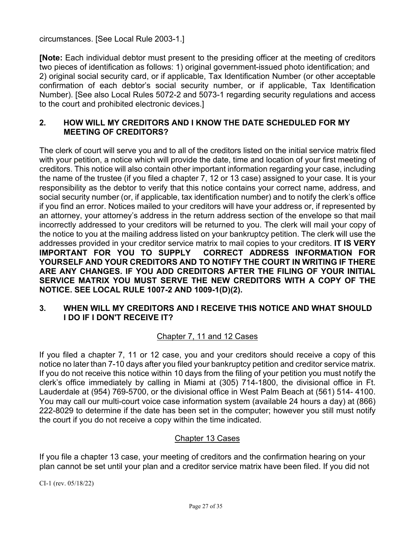circumstances. [See Local Rule 2003-1.]

**[Note:** Each individual debtor must present to the presiding officer at the meeting of creditors two pieces of identification as follows: 1) original government-issued photo identification; and 2) original social security card, or if applicable, Tax Identification Number (or other acceptable confirmation of each debtor's social security number, or if applicable, Tax Identification Number). [See also Local Rules 5072-2 and 5073-1 regarding security regulations and access to the court and prohibited electronic devices.]

#### **2. HOW WILL MY CREDITORS AND I KNOW THE DATE SCHEDULED FOR MY MEETING OF CREDITORS?**

The clerk of court will serve you and to all of the creditors listed on the initial service matrix filed with your petition, a notice which will provide the date, time and location of your first meeting of creditors. This notice will also contain other important information regarding your case, including the name of the trustee (if you filed a chapter 7, 12 or 13 case) assigned to your case. It is your responsibility as the debtor to verify that this notice contains your correct name, address, and social security number (or, if applicable, tax identification number) and to notify the clerk's office if you find an error. Notices mailed to your creditors will have your address or, if represented by an attorney, your attorney's address in the return address section of the envelope so that mail incorrectly addressed to your creditors will be returned to you. The clerk will mail your copy of the notice to you at the mailing address listed on your bankruptcy petition. The clerk will use the addresses provided in your creditor service matrix to mail copies to your creditors. **IT IS VERY IMPORTANT FOR YOU TO SUPPLY CORRECT ADDRESS INFORMATION FOR YOURSELF AND YOUR CREDITORS AND TO NOTIFY THE COURT IN WRITING IF THERE ARE ANY CHANGES. IF YOU ADD CREDITORS AFTER THE FILING OF YOUR INITIAL SERVICE MATRIX YOU MUST SERVE THE NEW CREDITORS WITH A COPY OF THE NOTICE. SEE LOCAL RULE 1007-2 AND 1009-1(D)(2).**

### **3. WHEN WILL MY CREDITORS AND I RECEIVE THIS NOTICE AND WHAT SHOULD I DO IF I DON'T RECEIVE IT?**

### Chapter 7, 11 and 12 Cases

If you filed a chapter 7, 11 or 12 case, you and your creditors should receive a copy of this notice no later than 7-10 days after you filed your bankruptcy petition and creditor service matrix. If you do not receive this notice within 10 days from the filing of your petition you must notify the clerk's office immediately by calling in Miami at (305) 714-1800, the divisional office in Ft. Lauderdale at (954) 769-5700, or the divisional office in West Palm Beach at (561) 514- 4100. You may call our multi-court voice case information system (available 24 hours a day) at (866) 222-8029 to determine if the date has been set in the computer; however you still must notify the court if you do not receive a copy within the time indicated.

#### Chapter 13 Cases

If you file a chapter 13 case, your meeting of creditors and the confirmation hearing on your plan cannot be set until your plan and a creditor service matrix have been filed. If you did not

CI-1 (rev. 05/18/22)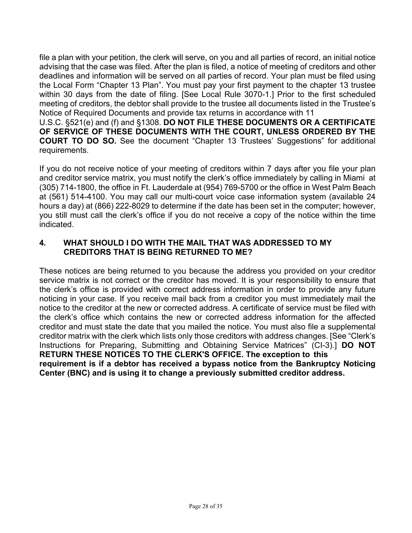file a plan with your petition, the clerk will serve, on you and all parties of record, an initial notice advising that the case was filed. After the plan is filed, a notice of meeting of creditors and other deadlines and information will be served on all parties of record. Your plan must be filed using the Local Form "Chapter 13 Plan". You must pay your first payment to the chapter 13 trustee within 30 days from the date of filing. [See Local Rule 3070-1.] Prior to the first scheduled meeting of creditors, the debtor shall provide to the trustee all documents listed in the Trustee's Notice of Required Documents and provide tax returns in accordance with 11 U.S.C. §521(e) and (f) and §1308. **DO NOT FILE THESE DOCUMENTS OR A CERTIFICATE** 

**OF SERVICE OF THESE DOCUMENTS WITH THE COURT, UNLESS ORDERED BY THE COURT TO DO SO.** See the document "Chapter 13 Trustees' Suggestions" for additional requirements.

If you do not receive notice of your meeting of creditors within 7 days after you file your plan and creditor service matrix, you must notify the clerk's office immediately by calling in Miami at (305) 714-1800, the office in Ft. Lauderdale at (954) 769-5700 or the office in West Palm Beach at (561) 514-4100. You may call our multi-court voice case information system (available 24 hours a day) at (866) 222-8029 to determine if the date has been set in the computer; however, you still must call the clerk's office if you do not receive a copy of the notice within the time indicated.

### **4. WHAT SHOULD I DO WITH THE MAIL THAT WAS ADDRESSED TO MY CREDITORS THAT IS BEING RETURNED TO ME?**

These notices are being returned to you because the address you provided on your creditor service matrix is not correct or the creditor has moved. It is your responsibility to ensure that the clerk's office is provided with correct address information in order to provide any future noticing in your case. If you receive mail back from a creditor you must immediately mail the notice to the creditor at the new or corrected address. A certificate of service must be filed with the clerk's office which contains the new or corrected address information for the affected creditor and must state the date that you mailed the notice. You must also file a supplemental creditor matrix with the clerk which lists only those creditors with address changes. [See "Clerk's Instructions for Preparing, Submitting and Obtaining Service Matrices" (CI-3).] **DO NOT RETURN THESE NOTICES TO THE CLERK'S OFFICE. The exception to this requirement is if a debtor has received a bypass notice from the Bankruptcy Noticing Center (BNC) and is using it to change a previously submitted creditor address.**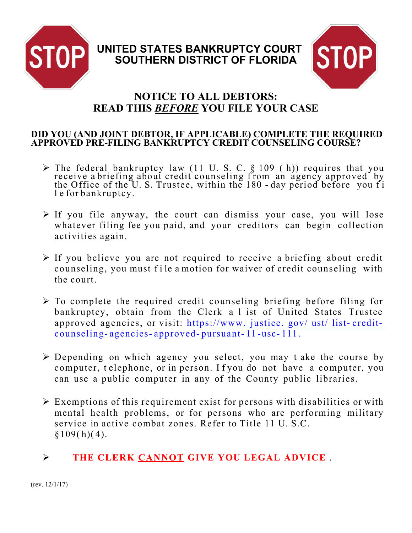

# **UNITED STATES BANKRUPTCY COURT SOUTHERN DISTRICT OF FLORIDA**



# **NOTICE TO ALL DEBTORS: READ THIS** *BEFORE* **YOU FILE YOUR CASE**

### **DID YOU (AND JOINT DEBTOR, IF APPLICABLE) COMPLETE THE REQUIRED APPROVED PRE-FILING BANKRUPTCY CREDIT COUNSELING COURSE?**

- The federal bankruptcy law (11 U. S. C. § 109 ( h)) requires that you receive a briefing about credit counseling f rom an agency approved by the Office of the U. S. Trustee, within the 180 day period before you f i l e for bankruptcy.
- $\triangleright$  If you file anyway, the court can dismiss your case, you will lose whatever filing fee you paid, and your creditors can begin collection activities again.
- $\triangleright$  If you believe you are not required to receive a briefing about credit counseling, you must file a motion for waiver of credit counseling with the court.
- $\triangleright$  To complete the required credit counseling briefing before filing for bankruptcy, obtain from the Clerk a l ist of United States Trustee approved agencies, or visit: [https://www. justice. gov/ ust/ list-](https://www.justice.gov/ust/list-credit-counseling-agencies-approved-pursuant-11-usc-111) credit[counseling-](https://www.justice.gov/ust/list-credit-counseling-agencies-approved-pursuant-11-usc-111) agencies- approved- pursuant- 11 -usc- 111 .
- Depending on which agency you select, you may t ake the course by computer, t elephone, or in person. I f you do not have a computer, you can use a public computer in any of the County public libraries.
- $\triangleright$  Exemptions of this requirement exist for persons with disabilities or with mental health problems, or for persons who are performing military service in active combat zones. Refer to Title 11 U. S.C.  $$109(h)(4).$

# **THE CLERK CANNOT GIVE YOU LEGAL ADVICE** .

(rev. 12/1/17)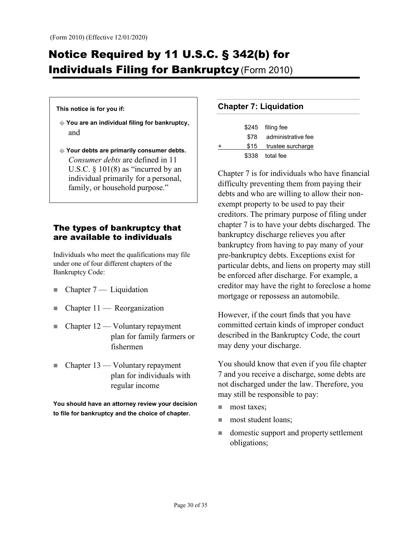# Notice Required by 11 U.S.C. § 342(b) for **Individuals Filing for Bankruptcy (Form 2010)**

#### **This notice is for you if:**

- � **You are an individual filing for bankruptcy**, and
- � **Your debts are primarily consumer debts.** *Consumer debts* are defined in 11 U.S.C.  $\S$  101(8) as "incurred by an individual primarily for a personal, family, or household purpose."

### The types of bankruptcy that are available to individuals

Individuals who meet the qualifications may file under one of four different chapters of the Bankruptcy Code:

- $\blacksquare$  Chapter 7 Liquidation
- $\blacksquare$  Chapter 11 Reorganization
- Chapter 12 Voluntary repayment plan for family farmers or fishermen
- $\blacksquare$  Chapter 13 Voluntary repayment plan for individuals with regular income

**You should have an attorney review your decision to file for bankruptcy and the choice of chapter.**

#### **Chapter 7: Liquidation**

|   | \$245 filing fee        |
|---|-------------------------|
|   | \$78 administrative fee |
| + | \$15 trustee surcharge  |
|   | \$338 total fee         |

Chapter 7 is for individuals who have financial difficulty preventing them from paying their debts and who are willing to allow their nonexempt property to be used to pay their creditors. The primary purpose of filing under chapter 7 is to have your debts discharged. The bankruptcy discharge relieves you after bankruptcy from having to pay many of your pre-bankruptcy debts. Exceptions exist for particular debts, and liens on property may still be enforced after discharge. For example, a creditor may have the right to foreclose a home mortgage or repossess an automobile.

However, if the court finds that you have committed certain kinds of improper conduct described in the Bankruptcy Code, the court may deny your discharge.

You should know that even if you file chapter 7 and you receive a discharge, some debts are not discharged under the law. Therefore, you may still be responsible to pay:

- **most taxes:**
- **most student loans;**
- domestic support and property settlement obligations;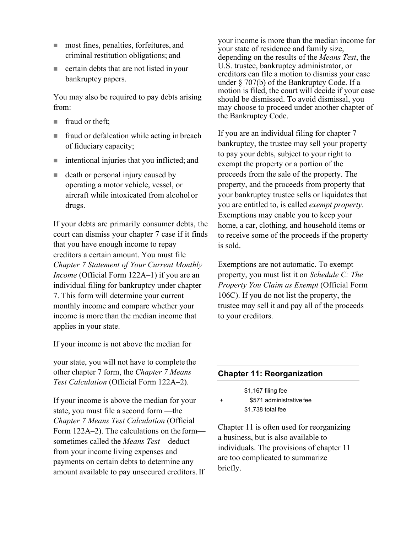- most fines, penalties, forfeitures, and criminal restitution obligations; and
- **E** certain debts that are not listed in your bankruptcy papers.

You may also be required to pay debts arising from:

- $\blacksquare$  fraud or theft;
- **fraud or defalcation while acting in breach** of fiduciary capacity;
- $\blacksquare$  intentional injuries that you inflicted; and
- death or personal injury caused by operating a motor vehicle, vessel, or aircraft while intoxicated from alcohol or drugs.

If your debts are primarily consumer debts, the court can dismiss your chapter 7 case if it finds that you have enough income to repay creditors a certain amount. You must file *Chapter 7 Statement of Your Current Monthly Income* (Official Form 122A–1) if you are an individual filing for bankruptcy under chapter 7. This form will determine your current monthly income and compare whether your income is more than the median income that applies in your state.

If your income is not above the median for

your state, you will not have to complete the other chapter 7 form, the *Chapter 7 Means Test Calculation* (Official Form 122A–2).

If your income is above the median for your state, you must file a second form —the *Chapter 7 Means Test Calculation* (Official Form 122A–2). The calculations on the form sometimes called the *Means Test*—deduct from your income living expenses and payments on certain debts to determine any amount available to pay unsecured creditors.If your income is more than the median income for your state of residence and family size, depending on the results of the *Means Test*, the U.S. trustee, bankruptcy administrator, or creditors can file a motion to dismiss your case under § 707(b) of the Bankruptcy Code. If a motion is filed, the court will decide if your case should be dismissed. To avoid dismissal, you may choose to proceed under another chapter of the Bankruptcy Code.

If you are an individual filing for chapter 7 bankruptcy, the trustee may sell your property to pay your debts, subject to your right to exempt the property or a portion of the proceeds from the sale of the property. The property, and the proceeds from property that your bankruptcy trustee sells or liquidates that you are entitled to, is called *exempt property*. Exemptions may enable you to keep your home, a car, clothing, and household items or to receive some of the proceeds if the property is sold.

Exemptions are not automatic. To exempt property, you must list it on *Schedule C: The Property You Claim as Exempt* (Official Form 106C). If you do not list the property, the trustee may sell it and pay all of the proceeds to your creditors.

#### **Chapter 11: Reorganization**

|   | $$1,167$ filing fee      |
|---|--------------------------|
| + | \$571 administrative fee |
|   | \$1,738 total fee        |

Chapter 11 is often used for reorganizing a business, but is also available to individuals. The provisions of chapter 11 are too complicated to summarize briefly.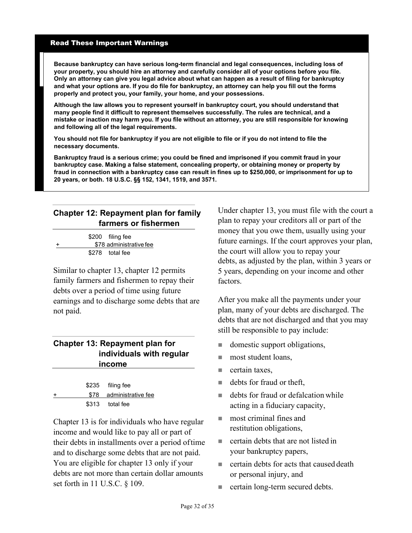#### Read These Important Warnings

**Because bankruptcy can have serious long-term financial and legal consequences, including loss of your property, you should hire an attorney and carefully consider all of your options before you file. Only an attorney can give you legal advice about what can happen as a result of filing for bankruptcy and what your options are. If you do file for bankruptcy, an attorney can help you fill out the forms properly and protect you, your family, your home, and your possessions.**

**Although the law allows you to represent yourself in bankruptcy court, you should understand that many people find it difficult to represent themselves successfully. The rules are technical, and a mistake or inaction may harm you. If you file without an attorney, you are still responsible for knowing and following all of the legal requirements.**

**You should not file for bankruptcy if you are not eligible to file or if you do not intend to file the necessary documents.**

**Bankruptcy fraud is a serious crime; you could be fined and imprisoned if you commit fraud in your bankruptcy case. Making a false statement, concealing property, or obtaining money or property by fraud in connection with a bankruptcy case can result in fines up to \$250,000, or imprisonment for up to 20 years, or both. 18 U.S.C. §§ 152, 1341, 1519, and 3571.**

### **Chapter 12: Repayment plan for family farmers or fishermen**

|                         | \$200 filing fee |
|-------------------------|------------------|
| \$78 administrative fee |                  |
|                         | \$278 total fee  |

Similar to chapter 13, chapter 12 permits family farmers and fishermen to repay their debts over a period of time using future earnings and to discharge some debts that are not paid.

### **Chapter 13: Repayment plan for individuals with regular income**

|       | \$235 filing fee        |
|-------|-------------------------|
| $\pm$ | \$78 administrative fee |
|       | \$313 total fee         |

Chapter 13 is for individuals who have regular income and would like to pay all or part of their debts in installments over a period oftime and to discharge some debts that are not paid. You are eligible for chapter 13 only if your debts are not more than certain dollar amounts set forth in 11 U.S.C. § 109.

Under chapter 13, you must file with the court a plan to repay your creditors all or part of the money that you owe them, usually using your future earnings. If the court approves your plan, the court will allow you to repay your debts, as adjusted by the plan, within 3 years or 5 years, depending on your income and other factors.

After you make all the payments under your plan, many of your debts are discharged. The debts that are not discharged and that you may still be responsible to pay include:

- $\blacksquare$  domestic support obligations,
- **most student loans,**
- $\blacksquare$  certain taxes,
- $\blacksquare$  debts for fraud or theft.
- debts for fraud or defalcation while acting in a fiduciary capacity,
- **most criminal fines and** restitution obligations,
- **Exercise** certain debts that are not listed in your bankruptcy papers,
- **EXECUTE:** certain debts for acts that caused death or personal injury, and
- certain long-term secured debts.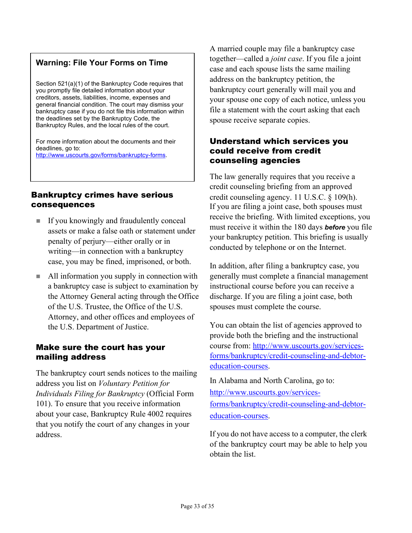### **Warning: File Your Forms on Time**

Section 521(a)(1) of the Bankruptcy Code requires that you promptly file detailed information about your creditors, assets, liabilities, income, expenses and general financial condition. The court may dismiss your bankruptcy case if you do not file this information within the deadlines set by the Bankruptcy Code, the Bankruptcy Rules, and the local rules of the court.

For more information about the documents and their deadlines, go to: [http://www.uscourts.gov/forms/bankruptcy-forms.](http://www.uscourts.gov/forms/bankruptcy-forms)

### Bankruptcy crimes have serious consequences

- If you knowingly and fraudulently conceal assets or make a false oath or statement under penalty of perjury—either orally or in writing—in connection with a bankruptcy case, you may be fined, imprisoned, or both.
- All information you supply in connection with a bankruptcy case is subject to examination by the Attorney General acting through the Office of the U.S. Trustee, the Office of the U.S. Attorney, and other offices and employees of the U.S. Department of Justice.

#### Make sure the court has your mailing address

The bankruptcy court sends notices to the mailing address you list on *Voluntary Petition for Individuals Filing for Bankruptcy* (Official Form 101). To ensure that you receive information about your case, Bankruptcy Rule 4002 requires that you notify the court of any changes in your address.

A married couple may file a bankruptcy case together—called a *joint case*. If you file a joint case and each spouse lists the same mailing address on the bankruptcy petition, the bankruptcy court generally will mail you and your spouse one copy of each notice, unless you file a statement with the court asking that each spouse receive separate copies.

#### Understand which services you could receive from credit counseling agencies

The law generally requires that you receive a credit counseling briefing from an approved credit counseling agency. 11 U.S.C. § 109(h). If you are filing a joint case, both spouses must receive the briefing. With limited exceptions, you must receive it within the 180 days *before* you file your bankruptcy petition. This briefing is usually conducted by telephone or on the Internet.

In addition, after filing a bankruptcy case, you generally must complete a financial management instructional course before you can receive a discharge. If you are filing a joint case, both spouses must complete the course.

You can obtain the list of agencies approved to provide both the briefing and the instructional course from: [http://www.uscourts.gov/services](http://www.uscourts.gov/services-forms/bankruptcy/credit-counseling-and-debtor-education-courses)[forms/bankruptcy/credit-counseling-and-debtor](http://www.uscourts.gov/services-forms/bankruptcy/credit-counseling-and-debtor-education-courses)[education-courses.](http://www.uscourts.gov/services-forms/bankruptcy/credit-counseling-and-debtor-education-courses)

In Alabama and North Carolina, go to: [http://www.uscourts.gov/services](http://www.uscourts.gov/services-forms/bankruptcy/credit-counseling-and-debtor-education-courses)[forms/bankruptcy/credit-counseling-and-debtor](http://www.uscourts.gov/services-forms/bankruptcy/credit-counseling-and-debtor-education-courses)[education-courses.](http://www.uscourts.gov/services-forms/bankruptcy/credit-counseling-and-debtor-education-courses)

If you do not have access to a computer, the clerk of the bankruptcy court may be able to help you obtain the list.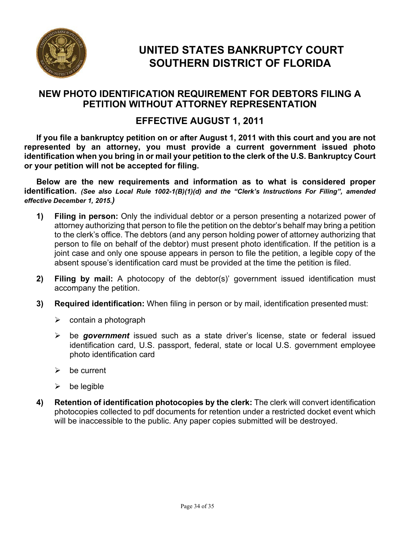

### **NEW PHOTO IDENTIFICATION REQUIREMENT FOR DEBTORS FILING A PETITION WITHOUT ATTORNEY REPRESENTATION**

### **EFFECTIVE AUGUST 1, 2011**

**If you file a bankruptcy petition on or after August 1, 2011 with this court and you are not represented by an attorney, you must provide a current government issued photo identification when you bring in or mail your petition to the clerk of the U.S. Bankruptcy Court or your petition will not be accepted for filing.**

**Below are the new requirements and information as to what is considered proper identification.** *(See also Local Rule 1002-1(B)(1)(d) and the "Clerk's Instructions For Filing", amended effective December 1, 2015.)*

- **1) Filing in person:** Only the individual debtor or a person presenting a notarized power of attorney authorizing that person to file the petition on the debtor's behalf may bring a petition to the clerk's office. The debtors (and any person holding power of attorney authorizing that person to file on behalf of the debtor) must present photo identification. If the petition is a joint case and only one spouse appears in person to file the petition, a legible copy of the absent spouse's identification card must be provided at the time the petition is filed.
- **2) Filing by mail:** A photocopy of the debtor(s)' government issued identification must accompany the petition.
- **3) Required identification:** When filing in person or by mail, identification presented must:
	- $\triangleright$  contain a photograph
	- be *government* issued such as a state driver's license, state or federal issued identification card, U.S. passport, federal, state or local U.S. government employee photo identification card
	- be current
	- $\triangleright$  be legible
- **4) Retention of identification photocopies by the clerk:** The clerk will convert identification photocopies collected to pdf documents for retention under a restricted docket event which will be inaccessible to the public. Any paper copies submitted will be destroyed.